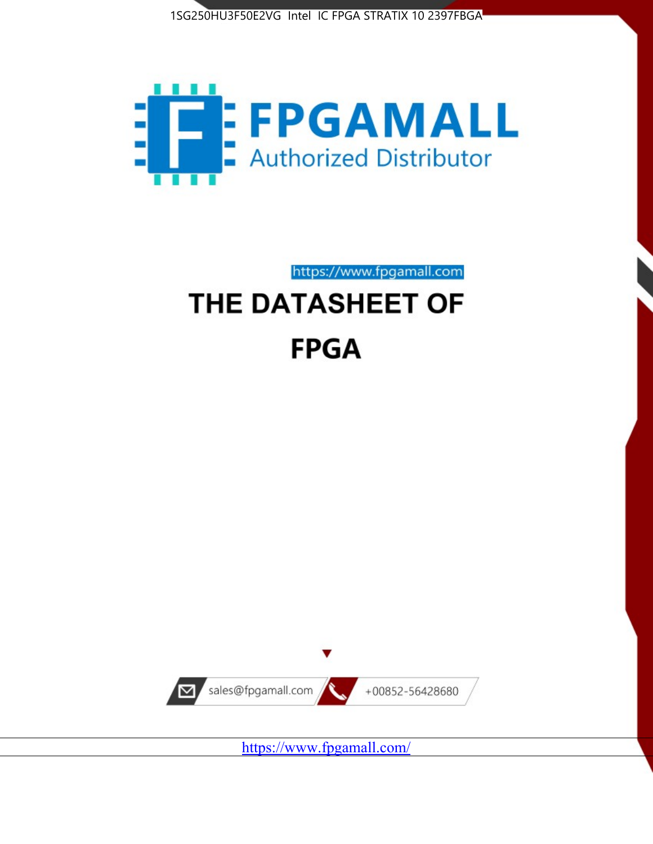



https://www.fpgamall.com

# THE DATASHEET OF **FPGA**



<https://www.fpgamall.com/>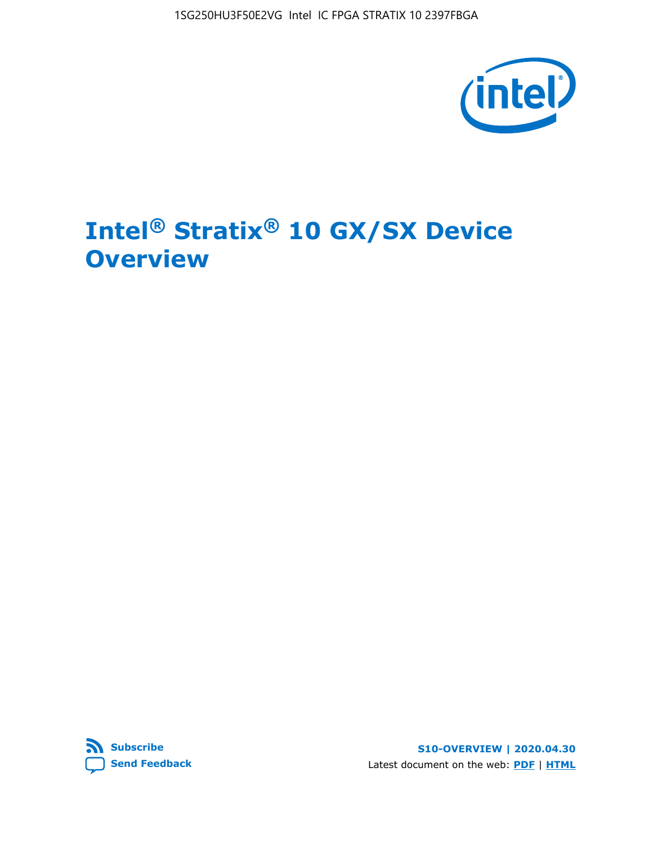

# **Intel® Stratix® 10 GX/SX Device Overview**



**S10-OVERVIEW | 2020.04.30** Latest document on the web: **[PDF](https://www.intel.com/content/dam/www/programmable/us/en/pdfs/literature/hb/stratix-10/s10-overview.pdf)** | **[HTML](https://www.intel.com/content/www/us/en/programmable/documentation/joc1442261161666.html)**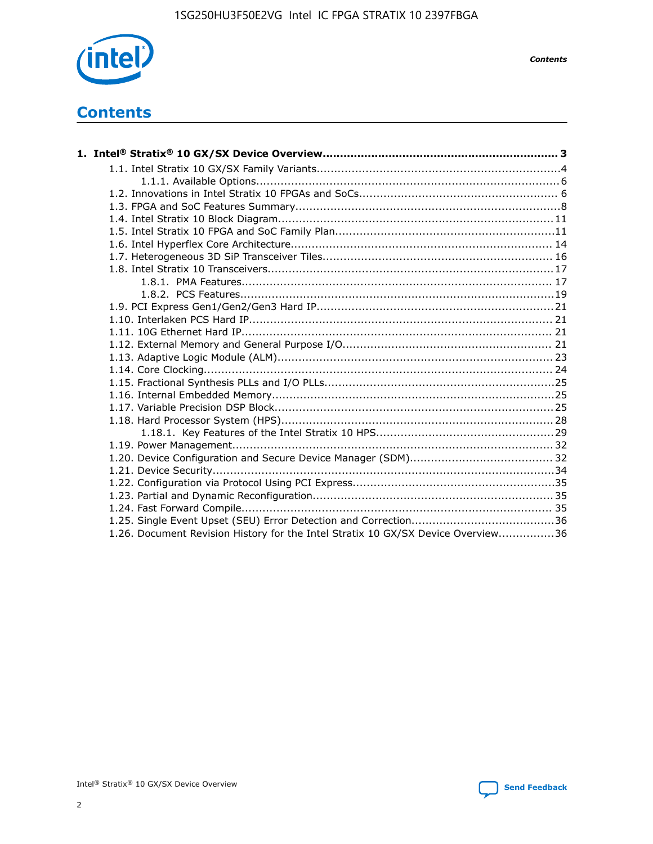

*Contents*

# **Contents**

| 1.26. Document Revision History for the Intel Stratix 10 GX/SX Device Overview36 |  |
|----------------------------------------------------------------------------------|--|

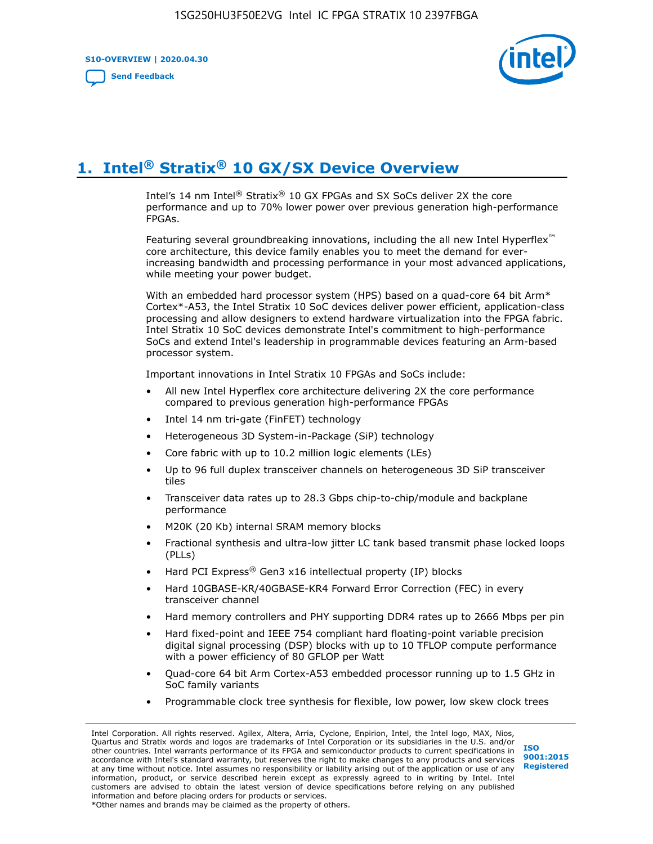**S10-OVERVIEW | 2020.04.30**

**[Send Feedback](mailto:FPGAtechdocfeedback@intel.com?subject=Feedback%20on%20Intel%20Stratix%2010%20GX/SX%20Device%20Overview%20(S10-OVERVIEW%202020.04.30)&body=We%20appreciate%20your%20feedback.%20In%20your%20comments,%20also%20specify%20the%20page%20number%20or%20paragraph.%20Thank%20you.)**



# **1. Intel® Stratix® 10 GX/SX Device Overview**

Intel's 14 nm Intel® Stratix® 10 GX FPGAs and SX SoCs deliver 2X the core performance and up to 70% lower power over previous generation high-performance FPGAs.

Featuring several groundbreaking innovations, including the all new Intel Hyperflex™ core architecture, this device family enables you to meet the demand for everincreasing bandwidth and processing performance in your most advanced applications, while meeting your power budget.

With an embedded hard processor system (HPS) based on a quad-core 64 bit Arm\* Cortex\*-A53, the Intel Stratix 10 SoC devices deliver power efficient, application-class processing and allow designers to extend hardware virtualization into the FPGA fabric. Intel Stratix 10 SoC devices demonstrate Intel's commitment to high-performance SoCs and extend Intel's leadership in programmable devices featuring an Arm-based processor system.

Important innovations in Intel Stratix 10 FPGAs and SoCs include:

- All new Intel Hyperflex core architecture delivering 2X the core performance compared to previous generation high-performance FPGAs
- Intel 14 nm tri-gate (FinFET) technology
- Heterogeneous 3D System-in-Package (SiP) technology
- Core fabric with up to 10.2 million logic elements (LEs)
- Up to 96 full duplex transceiver channels on heterogeneous 3D SiP transceiver tiles
- Transceiver data rates up to 28.3 Gbps chip-to-chip/module and backplane performance
- M20K (20 Kb) internal SRAM memory blocks
- Fractional synthesis and ultra-low jitter LC tank based transmit phase locked loops (PLLs)
- Hard PCI Express<sup>®</sup> Gen3 x16 intellectual property (IP) blocks
- Hard 10GBASE-KR/40GBASE-KR4 Forward Error Correction (FEC) in every transceiver channel
- Hard memory controllers and PHY supporting DDR4 rates up to 2666 Mbps per pin
- Hard fixed-point and IEEE 754 compliant hard floating-point variable precision digital signal processing (DSP) blocks with up to 10 TFLOP compute performance with a power efficiency of 80 GFLOP per Watt
- Quad-core 64 bit Arm Cortex-A53 embedded processor running up to 1.5 GHz in SoC family variants
- Programmable clock tree synthesis for flexible, low power, low skew clock trees

Intel Corporation. All rights reserved. Agilex, Altera, Arria, Cyclone, Enpirion, Intel, the Intel logo, MAX, Nios, Quartus and Stratix words and logos are trademarks of Intel Corporation or its subsidiaries in the U.S. and/or other countries. Intel warrants performance of its FPGA and semiconductor products to current specifications in accordance with Intel's standard warranty, but reserves the right to make changes to any products and services at any time without notice. Intel assumes no responsibility or liability arising out of the application or use of any information, product, or service described herein except as expressly agreed to in writing by Intel. Intel customers are advised to obtain the latest version of device specifications before relying on any published information and before placing orders for products or services. \*Other names and brands may be claimed as the property of others.

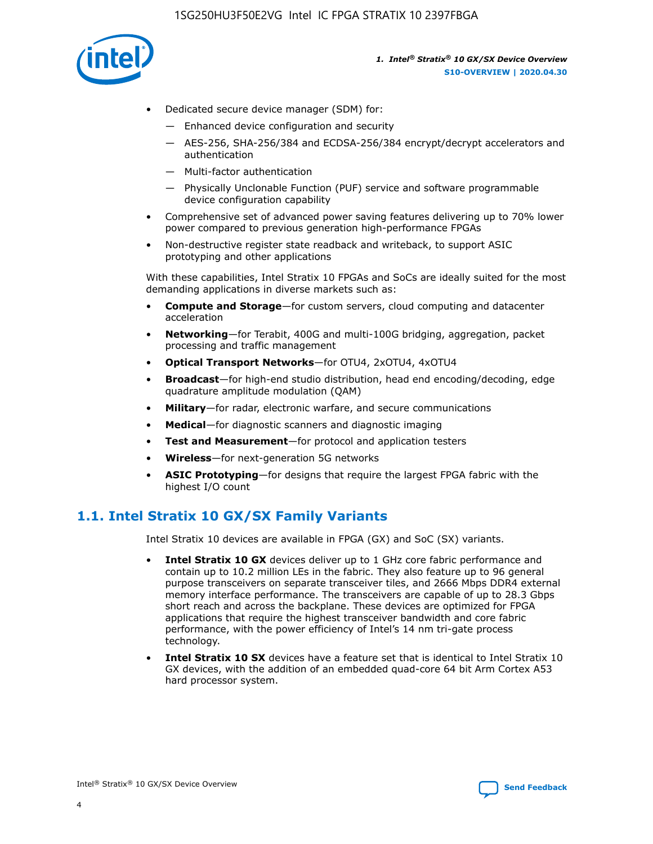

- Dedicated secure device manager (SDM) for:
	- Enhanced device configuration and security
	- AES-256, SHA-256/384 and ECDSA-256/384 encrypt/decrypt accelerators and authentication
	- Multi-factor authentication
	- Physically Unclonable Function (PUF) service and software programmable device configuration capability
- Comprehensive set of advanced power saving features delivering up to 70% lower power compared to previous generation high-performance FPGAs
- Non-destructive register state readback and writeback, to support ASIC prototyping and other applications

With these capabilities, Intel Stratix 10 FPGAs and SoCs are ideally suited for the most demanding applications in diverse markets such as:

- **Compute and Storage**—for custom servers, cloud computing and datacenter acceleration
- **Networking**—for Terabit, 400G and multi-100G bridging, aggregation, packet processing and traffic management
- **Optical Transport Networks**—for OTU4, 2xOTU4, 4xOTU4
- **Broadcast**—for high-end studio distribution, head end encoding/decoding, edge quadrature amplitude modulation (QAM)
- **Military**—for radar, electronic warfare, and secure communications
- **Medical**—for diagnostic scanners and diagnostic imaging
- **Test and Measurement**—for protocol and application testers
- **Wireless**—for next-generation 5G networks
- **ASIC Prototyping**—for designs that require the largest FPGA fabric with the highest I/O count

## **1.1. Intel Stratix 10 GX/SX Family Variants**

Intel Stratix 10 devices are available in FPGA (GX) and SoC (SX) variants.

- **Intel Stratix 10 GX** devices deliver up to 1 GHz core fabric performance and contain up to 10.2 million LEs in the fabric. They also feature up to 96 general purpose transceivers on separate transceiver tiles, and 2666 Mbps DDR4 external memory interface performance. The transceivers are capable of up to 28.3 Gbps short reach and across the backplane. These devices are optimized for FPGA applications that require the highest transceiver bandwidth and core fabric performance, with the power efficiency of Intel's 14 nm tri-gate process technology.
- **Intel Stratix 10 SX** devices have a feature set that is identical to Intel Stratix 10 GX devices, with the addition of an embedded quad-core 64 bit Arm Cortex A53 hard processor system.

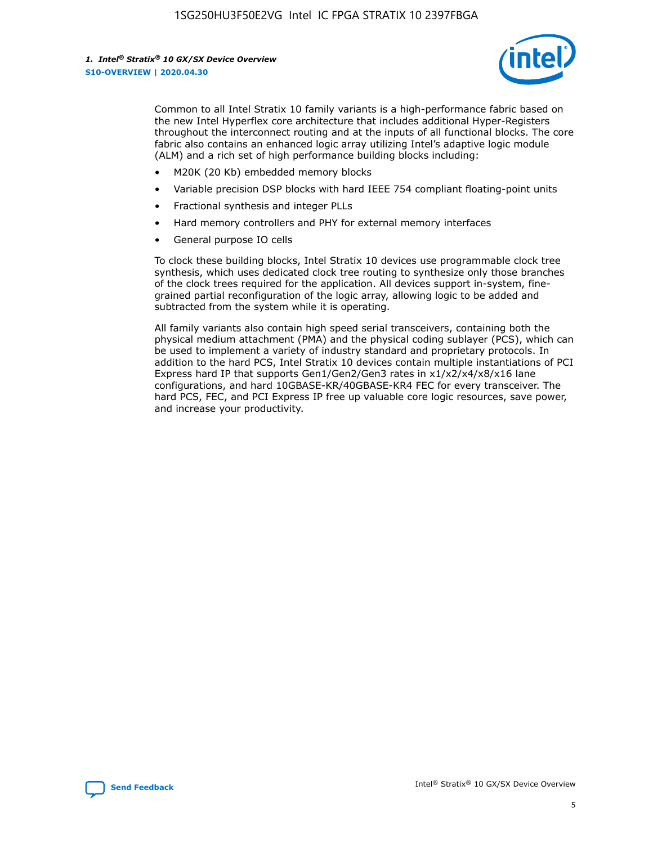

Common to all Intel Stratix 10 family variants is a high-performance fabric based on the new Intel Hyperflex core architecture that includes additional Hyper-Registers throughout the interconnect routing and at the inputs of all functional blocks. The core fabric also contains an enhanced logic array utilizing Intel's adaptive logic module (ALM) and a rich set of high performance building blocks including:

- M20K (20 Kb) embedded memory blocks
- Variable precision DSP blocks with hard IEEE 754 compliant floating-point units
- Fractional synthesis and integer PLLs
- Hard memory controllers and PHY for external memory interfaces
- General purpose IO cells

To clock these building blocks, Intel Stratix 10 devices use programmable clock tree synthesis, which uses dedicated clock tree routing to synthesize only those branches of the clock trees required for the application. All devices support in-system, finegrained partial reconfiguration of the logic array, allowing logic to be added and subtracted from the system while it is operating.

All family variants also contain high speed serial transceivers, containing both the physical medium attachment (PMA) and the physical coding sublayer (PCS), which can be used to implement a variety of industry standard and proprietary protocols. In addition to the hard PCS, Intel Stratix 10 devices contain multiple instantiations of PCI Express hard IP that supports Gen1/Gen2/Gen3 rates in x1/x2/x4/x8/x16 lane configurations, and hard 10GBASE-KR/40GBASE-KR4 FEC for every transceiver. The hard PCS, FEC, and PCI Express IP free up valuable core logic resources, save power, and increase your productivity.

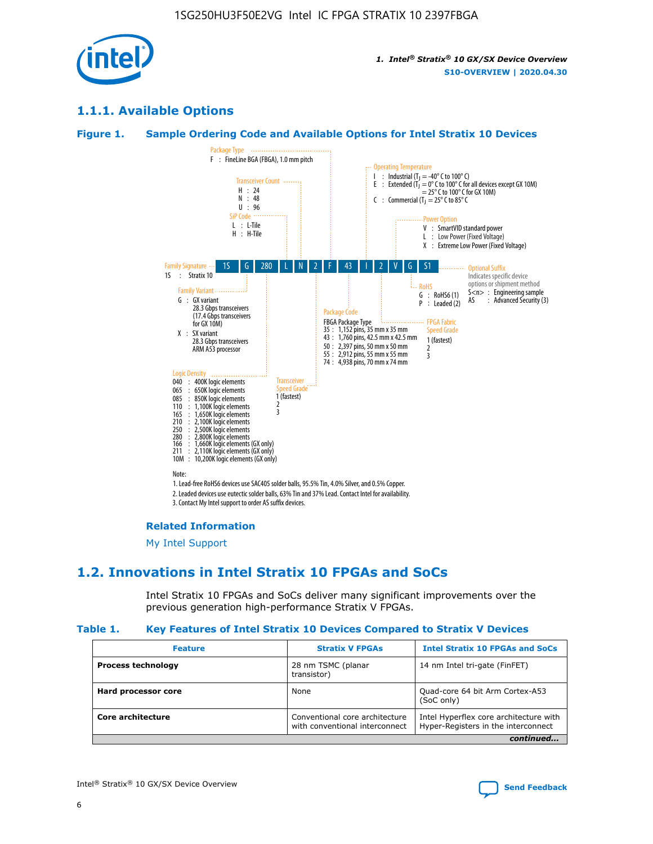

## **1.1.1. Available Options**

#### **Figure 1. Sample Ordering Code and Available Options for Intel Stratix 10 Devices**



## **Related Information**

[My Intel Support](https://www.intel.com/content/www/us/en/programmable/my-intel/mal-home.html)

## **1.2. Innovations in Intel Stratix 10 FPGAs and SoCs**

Intel Stratix 10 FPGAs and SoCs deliver many significant improvements over the previous generation high-performance Stratix V FPGAs.

#### **Table 1. Key Features of Intel Stratix 10 Devices Compared to Stratix V Devices**

| <b>Feature</b>            | <b>Stratix V FPGAs</b>                                           | <b>Intel Stratix 10 FPGAs and SoCs</b>                                        |  |  |  |
|---------------------------|------------------------------------------------------------------|-------------------------------------------------------------------------------|--|--|--|
| <b>Process technology</b> | 28 nm TSMC (planar<br>transistor)                                | 14 nm Intel tri-gate (FinFET)                                                 |  |  |  |
| Hard processor core       | None                                                             | Quad-core 64 bit Arm Cortex-A53<br>(SoC only)                                 |  |  |  |
| Core architecture         | Conventional core architecture<br>with conventional interconnect | Intel Hyperflex core architecture with<br>Hyper-Registers in the interconnect |  |  |  |
| continued                 |                                                                  |                                                                               |  |  |  |

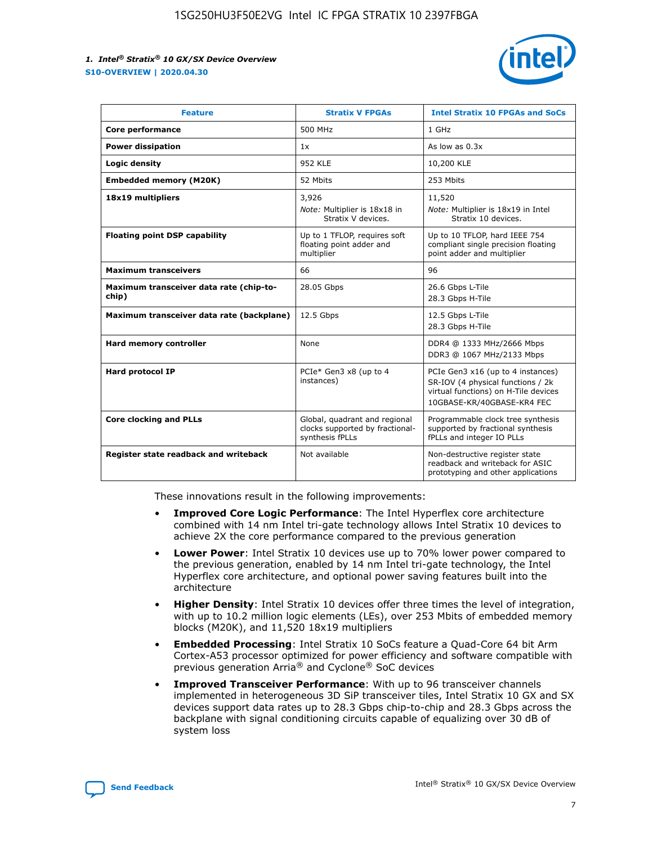

| <b>Feature</b>                                   | <b>Stratix V FPGAs</b>                                                              | <b>Intel Stratix 10 FPGAs and SoCs</b>                                                                                                       |
|--------------------------------------------------|-------------------------------------------------------------------------------------|----------------------------------------------------------------------------------------------------------------------------------------------|
| Core performance                                 | 500 MHz                                                                             | 1 GHz                                                                                                                                        |
| <b>Power dissipation</b>                         | 1x                                                                                  | As low as $0.3x$                                                                                                                             |
| Logic density                                    | 952 KLE                                                                             | 10,200 KLE                                                                                                                                   |
| <b>Embedded memory (M20K)</b>                    | 52 Mbits                                                                            | 253 Mbits                                                                                                                                    |
| 18x19 multipliers                                | 3,926                                                                               | 11,520                                                                                                                                       |
|                                                  | Note: Multiplier is 18x18 in<br>Stratix V devices.                                  | Note: Multiplier is 18x19 in Intel<br>Stratix 10 devices.                                                                                    |
| <b>Floating point DSP capability</b>             | Up to 1 TFLOP, requires soft<br>floating point adder and<br>multiplier              | Up to 10 TFLOP, hard IEEE 754<br>compliant single precision floating<br>point adder and multiplier                                           |
| <b>Maximum transceivers</b>                      | 66                                                                                  | 96                                                                                                                                           |
| Maximum transceiver data rate (chip-to-<br>chip) | 28.05 Gbps                                                                          | 26.6 Gbps L-Tile<br>28.3 Gbps H-Tile                                                                                                         |
| Maximum transceiver data rate (backplane)        | 12.5 Gbps                                                                           | 12.5 Gbps L-Tile<br>28.3 Gbps H-Tile                                                                                                         |
| Hard memory controller                           | None                                                                                | DDR4 @ 1333 MHz/2666 Mbps<br>DDR3 @ 1067 MHz/2133 Mbps                                                                                       |
| <b>Hard protocol IP</b>                          | PCIe* Gen3 x8 (up to 4<br>instances)                                                | PCIe Gen3 x16 (up to 4 instances)<br>SR-IOV (4 physical functions / 2k<br>virtual functions) on H-Tile devices<br>10GBASE-KR/40GBASE-KR4 FEC |
| <b>Core clocking and PLLs</b>                    | Global, quadrant and regional<br>clocks supported by fractional-<br>synthesis fPLLs | Programmable clock tree synthesis<br>supported by fractional synthesis<br>fPLLs and integer IO PLLs                                          |
| Register state readback and writeback            | Not available                                                                       | Non-destructive register state<br>readback and writeback for ASIC<br>prototyping and other applications                                      |

These innovations result in the following improvements:

- **Improved Core Logic Performance**: The Intel Hyperflex core architecture combined with 14 nm Intel tri-gate technology allows Intel Stratix 10 devices to achieve 2X the core performance compared to the previous generation
- **Lower Power**: Intel Stratix 10 devices use up to 70% lower power compared to the previous generation, enabled by 14 nm Intel tri-gate technology, the Intel Hyperflex core architecture, and optional power saving features built into the architecture
- **Higher Density**: Intel Stratix 10 devices offer three times the level of integration, with up to 10.2 million logic elements (LEs), over 253 Mbits of embedded memory blocks (M20K), and 11,520 18x19 multipliers
- **Embedded Processing**: Intel Stratix 10 SoCs feature a Quad-Core 64 bit Arm Cortex-A53 processor optimized for power efficiency and software compatible with previous generation Arria® and Cyclone® SoC devices
- **Improved Transceiver Performance**: With up to 96 transceiver channels implemented in heterogeneous 3D SiP transceiver tiles, Intel Stratix 10 GX and SX devices support data rates up to 28.3 Gbps chip-to-chip and 28.3 Gbps across the backplane with signal conditioning circuits capable of equalizing over 30 dB of system loss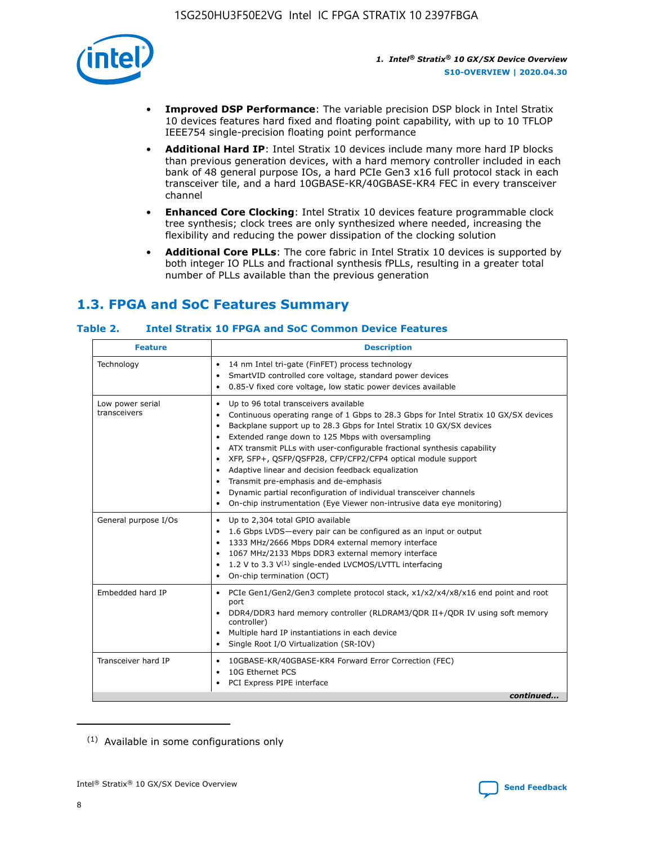

- **Improved DSP Performance**: The variable precision DSP block in Intel Stratix 10 devices features hard fixed and floating point capability, with up to 10 TFLOP IEEE754 single-precision floating point performance
- **Additional Hard IP**: Intel Stratix 10 devices include many more hard IP blocks than previous generation devices, with a hard memory controller included in each bank of 48 general purpose IOs, a hard PCIe Gen3 x16 full protocol stack in each transceiver tile, and a hard 10GBASE-KR/40GBASE-KR4 FEC in every transceiver channel
- **Enhanced Core Clocking**: Intel Stratix 10 devices feature programmable clock tree synthesis; clock trees are only synthesized where needed, increasing the flexibility and reducing the power dissipation of the clocking solution
- **Additional Core PLLs**: The core fabric in Intel Stratix 10 devices is supported by both integer IO PLLs and fractional synthesis fPLLs, resulting in a greater total number of PLLs available than the previous generation

# **1.3. FPGA and SoC Features Summary**

## **Table 2. Intel Stratix 10 FPGA and SoC Common Device Features**

| <b>Description</b><br><b>Feature</b> |                                                                                                                                                                                                                                                                                                                                                                                                                                                                                                                                                                                                                                                                                                                                                      |  |  |
|--------------------------------------|------------------------------------------------------------------------------------------------------------------------------------------------------------------------------------------------------------------------------------------------------------------------------------------------------------------------------------------------------------------------------------------------------------------------------------------------------------------------------------------------------------------------------------------------------------------------------------------------------------------------------------------------------------------------------------------------------------------------------------------------------|--|--|
| Technology                           | 14 nm Intel tri-gate (FinFET) process technology<br>٠<br>SmartVID controlled core voltage, standard power devices<br>0.85-V fixed core voltage, low static power devices available                                                                                                                                                                                                                                                                                                                                                                                                                                                                                                                                                                   |  |  |
| Low power serial<br>transceivers     | Up to 96 total transceivers available<br>$\bullet$<br>Continuous operating range of 1 Gbps to 28.3 Gbps for Intel Stratix 10 GX/SX devices<br>$\bullet$<br>Backplane support up to 28.3 Gbps for Intel Stratix 10 GX/SX devices<br>$\bullet$<br>Extended range down to 125 Mbps with oversampling<br>$\bullet$<br>ATX transmit PLLs with user-configurable fractional synthesis capability<br>$\bullet$<br>• XFP, SFP+, OSFP/OSFP28, CFP/CFP2/CFP4 optical module support<br>• Adaptive linear and decision feedback equalization<br>Transmit pre-emphasis and de-emphasis<br>Dynamic partial reconfiguration of individual transceiver channels<br>$\bullet$<br>On-chip instrumentation (Eye Viewer non-intrusive data eye monitoring)<br>$\bullet$ |  |  |
| General purpose I/Os                 | Up to 2,304 total GPIO available<br>$\bullet$<br>1.6 Gbps LVDS-every pair can be configured as an input or output<br>$\bullet$<br>1333 MHz/2666 Mbps DDR4 external memory interface<br>1067 MHz/2133 Mbps DDR3 external memory interface<br>1.2 V to 3.3 $V^{(1)}$ single-ended LVCMOS/LVTTL interfacing<br>$\bullet$<br>On-chip termination (OCT)<br>$\bullet$                                                                                                                                                                                                                                                                                                                                                                                      |  |  |
| Embedded hard IP                     | • PCIe Gen1/Gen2/Gen3 complete protocol stack, $x1/x2/x4/x8/x16$ end point and root<br>port<br>DDR4/DDR3 hard memory controller (RLDRAM3/QDR II+/QDR IV using soft memory<br>controller)<br>Multiple hard IP instantiations in each device<br>$\bullet$<br>• Single Root I/O Virtualization (SR-IOV)                                                                                                                                                                                                                                                                                                                                                                                                                                                 |  |  |
| Transceiver hard IP                  | 10GBASE-KR/40GBASE-KR4 Forward Error Correction (FEC)<br>$\bullet$<br>10G Ethernet PCS<br>$\bullet$<br>• PCI Express PIPE interface<br>continued                                                                                                                                                                                                                                                                                                                                                                                                                                                                                                                                                                                                     |  |  |

<sup>(1)</sup> Available in some configurations only

8

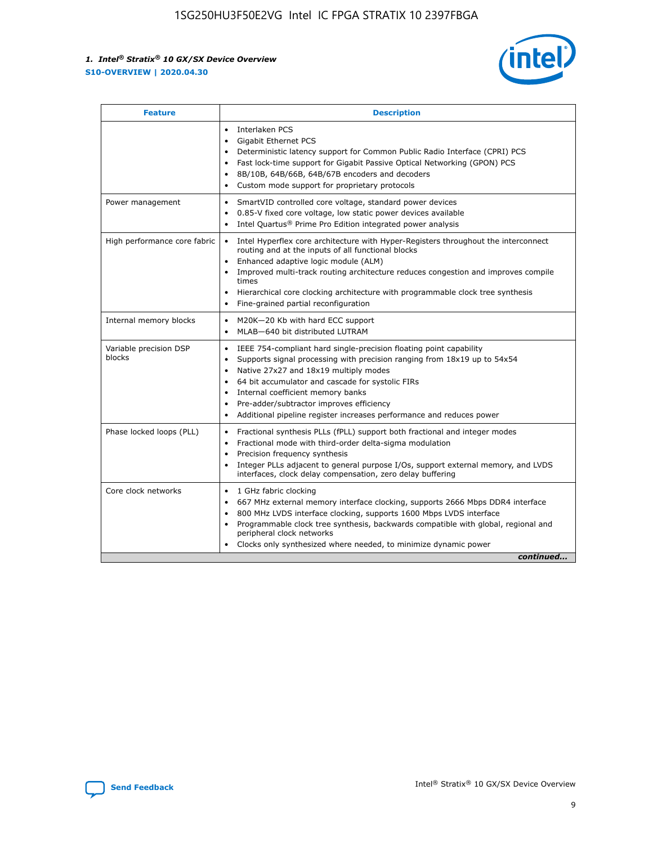

| <b>Feature</b>                   | <b>Description</b>                                                                                                                                                                                                                                                                                                                                                                                                                                                    |
|----------------------------------|-----------------------------------------------------------------------------------------------------------------------------------------------------------------------------------------------------------------------------------------------------------------------------------------------------------------------------------------------------------------------------------------------------------------------------------------------------------------------|
|                                  | Interlaken PCS<br>$\bullet$<br>Gigabit Ethernet PCS<br>$\bullet$<br>Deterministic latency support for Common Public Radio Interface (CPRI) PCS<br>$\bullet$<br>Fast lock-time support for Gigabit Passive Optical Networking (GPON) PCS<br>$\bullet$<br>8B/10B, 64B/66B, 64B/67B encoders and decoders<br>Custom mode support for proprietary protocols                                                                                                               |
| Power management                 | SmartVID controlled core voltage, standard power devices<br>$\bullet$<br>0.85-V fixed core voltage, low static power devices available<br>$\bullet$<br>Intel Quartus <sup>®</sup> Prime Pro Edition integrated power analysis<br>$\bullet$                                                                                                                                                                                                                            |
| High performance core fabric     | Intel Hyperflex core architecture with Hyper-Registers throughout the interconnect<br>routing and at the inputs of all functional blocks<br>Enhanced adaptive logic module (ALM)<br>$\bullet$<br>Improved multi-track routing architecture reduces congestion and improves compile<br>times<br>Hierarchical core clocking architecture with programmable clock tree synthesis<br>$\bullet$<br>Fine-grained partial reconfiguration                                    |
| Internal memory blocks           | M20K-20 Kb with hard ECC support<br>$\bullet$<br>MLAB-640 bit distributed LUTRAM<br>$\bullet$                                                                                                                                                                                                                                                                                                                                                                         |
| Variable precision DSP<br>blocks | IEEE 754-compliant hard single-precision floating point capability<br>$\bullet$<br>Supports signal processing with precision ranging from 18x19 up to 54x54<br>$\bullet$<br>Native 27x27 and 18x19 multiply modes<br>$\bullet$<br>64 bit accumulator and cascade for systolic FIRs<br>Internal coefficient memory banks<br>Pre-adder/subtractor improves efficiency<br>$\bullet$<br>Additional pipeline register increases performance and reduces power<br>$\bullet$ |
| Phase locked loops (PLL)         | Fractional synthesis PLLs (fPLL) support both fractional and integer modes<br>$\bullet$<br>Fractional mode with third-order delta-sigma modulation<br>Precision frequency synthesis<br>$\bullet$<br>Integer PLLs adjacent to general purpose I/Os, support external memory, and LVDS<br>$\bullet$<br>interfaces, clock delay compensation, zero delay buffering                                                                                                       |
| Core clock networks              | 1 GHz fabric clocking<br>$\bullet$<br>667 MHz external memory interface clocking, supports 2666 Mbps DDR4 interface<br>٠<br>800 MHz LVDS interface clocking, supports 1600 Mbps LVDS interface<br>$\bullet$<br>Programmable clock tree synthesis, backwards compatible with global, regional and<br>$\bullet$<br>peripheral clock networks<br>Clocks only synthesized where needed, to minimize dynamic power<br>continued                                            |

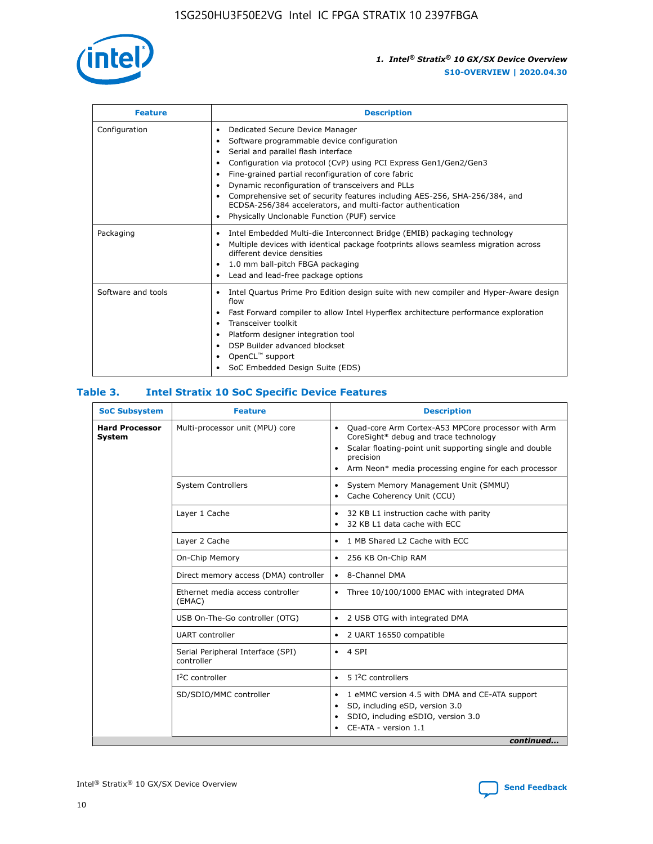

| <b>Feature</b>     | <b>Description</b>                                                                                                                                                                                                                                                                                                                                                                                                                                                                                                                                                   |
|--------------------|----------------------------------------------------------------------------------------------------------------------------------------------------------------------------------------------------------------------------------------------------------------------------------------------------------------------------------------------------------------------------------------------------------------------------------------------------------------------------------------------------------------------------------------------------------------------|
| Configuration      | Dedicated Secure Device Manager<br>$\bullet$<br>Software programmable device configuration<br>٠<br>Serial and parallel flash interface<br>٠<br>Configuration via protocol (CvP) using PCI Express Gen1/Gen2/Gen3<br>٠<br>Fine-grained partial reconfiguration of core fabric<br>$\bullet$<br>Dynamic reconfiguration of transceivers and PLLs<br>$\bullet$<br>Comprehensive set of security features including AES-256, SHA-256/384, and<br>ECDSA-256/384 accelerators, and multi-factor authentication<br>Physically Unclonable Function (PUF) service<br>$\bullet$ |
| Packaging          | Intel Embedded Multi-die Interconnect Bridge (EMIB) packaging technology<br>٠<br>Multiple devices with identical package footprints allows seamless migration across<br>$\bullet$<br>different device densities<br>1.0 mm ball-pitch FBGA packaging<br>$\bullet$<br>Lead and lead-free package options                                                                                                                                                                                                                                                               |
| Software and tools | Intel Quartus Prime Pro Edition design suite with new compiler and Hyper-Aware design<br>flow<br>Fast Forward compiler to allow Intel Hyperflex architecture performance exploration<br>$\bullet$<br>Transceiver toolkit<br>$\bullet$<br>Platform designer integration tool<br>DSP Builder advanced blockset<br>OpenCL <sup>™</sup> support<br>SoC Embedded Design Suite (EDS)                                                                                                                                                                                       |

## **Table 3. Intel Stratix 10 SoC Specific Device Features**

| <b>Hard Processor</b><br>Multi-processor unit (MPU) core<br>Quad-core Arm Cortex-A53 MPCore processor with Arm<br>$\bullet$<br>CoreSight* debug and trace technology<br>System<br>Scalar floating-point unit supporting single and double<br>$\bullet$<br>precision<br>Arm Neon* media processing engine for each processor<br>$\bullet$<br><b>System Controllers</b><br>System Memory Management Unit (SMMU)<br>$\bullet$<br>Cache Coherency Unit (CCU)<br>$\bullet$<br>Layer 1 Cache<br>32 KB L1 instruction cache with parity<br>$\bullet$<br>32 KB L1 data cache with ECC<br>$\bullet$<br>Layer 2 Cache<br>1 MB Shared L2 Cache with ECC<br>$\bullet$<br>On-Chip Memory<br>256 KB On-Chip RAM<br>٠<br>Direct memory access (DMA) controller<br>8-Channel DMA<br>$\bullet$<br>Ethernet media access controller<br>Three 10/100/1000 EMAC with integrated DMA<br>$\bullet$<br>(EMAC)<br>USB On-The-Go controller (OTG)<br>2 USB OTG with integrated DMA<br>$\bullet$<br><b>UART</b> controller<br>2 UART 16550 compatible<br>$\bullet$<br>Serial Peripheral Interface (SPI)<br>4 SPI<br>$\bullet$<br>controller<br>$I2C$ controller<br>5 <sup>2</sup> C controllers<br>$\bullet$<br>SD/SDIO/MMC controller<br>1 eMMC version 4.5 with DMA and CE-ATA support<br>$\bullet$<br>SD, including eSD, version 3.0<br>$\bullet$<br>SDIO, including eSDIO, version 3.0<br>$\bullet$<br>CE-ATA - version 1.1 | <b>SoC Subsystem</b> | <b>Feature</b> | <b>Description</b> |  |  |
|-------------------------------------------------------------------------------------------------------------------------------------------------------------------------------------------------------------------------------------------------------------------------------------------------------------------------------------------------------------------------------------------------------------------------------------------------------------------------------------------------------------------------------------------------------------------------------------------------------------------------------------------------------------------------------------------------------------------------------------------------------------------------------------------------------------------------------------------------------------------------------------------------------------------------------------------------------------------------------------------------------------------------------------------------------------------------------------------------------------------------------------------------------------------------------------------------------------------------------------------------------------------------------------------------------------------------------------------------------------------------------------------------------|----------------------|----------------|--------------------|--|--|
|                                                                                                                                                                                                                                                                                                                                                                                                                                                                                                                                                                                                                                                                                                                                                                                                                                                                                                                                                                                                                                                                                                                                                                                                                                                                                                                                                                                                       |                      |                |                    |  |  |
|                                                                                                                                                                                                                                                                                                                                                                                                                                                                                                                                                                                                                                                                                                                                                                                                                                                                                                                                                                                                                                                                                                                                                                                                                                                                                                                                                                                                       |                      |                |                    |  |  |
|                                                                                                                                                                                                                                                                                                                                                                                                                                                                                                                                                                                                                                                                                                                                                                                                                                                                                                                                                                                                                                                                                                                                                                                                                                                                                                                                                                                                       |                      |                |                    |  |  |
|                                                                                                                                                                                                                                                                                                                                                                                                                                                                                                                                                                                                                                                                                                                                                                                                                                                                                                                                                                                                                                                                                                                                                                                                                                                                                                                                                                                                       |                      |                |                    |  |  |
|                                                                                                                                                                                                                                                                                                                                                                                                                                                                                                                                                                                                                                                                                                                                                                                                                                                                                                                                                                                                                                                                                                                                                                                                                                                                                                                                                                                                       |                      |                |                    |  |  |
|                                                                                                                                                                                                                                                                                                                                                                                                                                                                                                                                                                                                                                                                                                                                                                                                                                                                                                                                                                                                                                                                                                                                                                                                                                                                                                                                                                                                       |                      |                |                    |  |  |
|                                                                                                                                                                                                                                                                                                                                                                                                                                                                                                                                                                                                                                                                                                                                                                                                                                                                                                                                                                                                                                                                                                                                                                                                                                                                                                                                                                                                       |                      |                |                    |  |  |
|                                                                                                                                                                                                                                                                                                                                                                                                                                                                                                                                                                                                                                                                                                                                                                                                                                                                                                                                                                                                                                                                                                                                                                                                                                                                                                                                                                                                       |                      |                |                    |  |  |
|                                                                                                                                                                                                                                                                                                                                                                                                                                                                                                                                                                                                                                                                                                                                                                                                                                                                                                                                                                                                                                                                                                                                                                                                                                                                                                                                                                                                       |                      |                |                    |  |  |
|                                                                                                                                                                                                                                                                                                                                                                                                                                                                                                                                                                                                                                                                                                                                                                                                                                                                                                                                                                                                                                                                                                                                                                                                                                                                                                                                                                                                       |                      |                |                    |  |  |
|                                                                                                                                                                                                                                                                                                                                                                                                                                                                                                                                                                                                                                                                                                                                                                                                                                                                                                                                                                                                                                                                                                                                                                                                                                                                                                                                                                                                       |                      |                |                    |  |  |
| continued                                                                                                                                                                                                                                                                                                                                                                                                                                                                                                                                                                                                                                                                                                                                                                                                                                                                                                                                                                                                                                                                                                                                                                                                                                                                                                                                                                                             |                      |                |                    |  |  |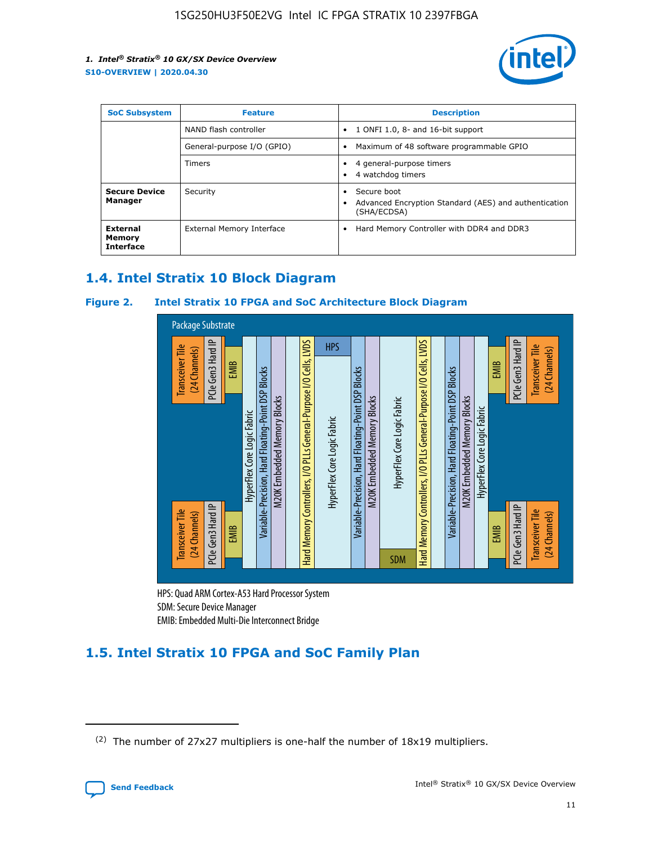

| <b>SoC Subsystem</b>                   | <b>Feature</b>             | <b>Description</b>                                                                                    |  |  |
|----------------------------------------|----------------------------|-------------------------------------------------------------------------------------------------------|--|--|
|                                        | NAND flash controller      | 1 ONFI 1.0, 8- and 16-bit support<br>$\bullet$                                                        |  |  |
|                                        | General-purpose I/O (GPIO) | Maximum of 48 software programmable GPIO<br>$\bullet$                                                 |  |  |
|                                        | Timers                     | 4 general-purpose timers<br>4 watchdog timers<br>٠                                                    |  |  |
| <b>Secure Device</b><br>Manager        | Security                   | Secure boot<br>$\bullet$<br>Advanced Encryption Standard (AES) and authentication<br>٠<br>(SHA/ECDSA) |  |  |
| External<br>Memory<br><b>Interface</b> | External Memory Interface  | Hard Memory Controller with DDR4 and DDR3<br>$\bullet$                                                |  |  |

## **1.4. Intel Stratix 10 Block Diagram**

## **Figure 2. Intel Stratix 10 FPGA and SoC Architecture Block Diagram**



HPS: Quad ARM Cortex-A53 Hard Processor System SDM: Secure Device Manager

# **1.5. Intel Stratix 10 FPGA and SoC Family Plan**

<sup>(2)</sup> The number of 27x27 multipliers is one-half the number of 18x19 multipliers.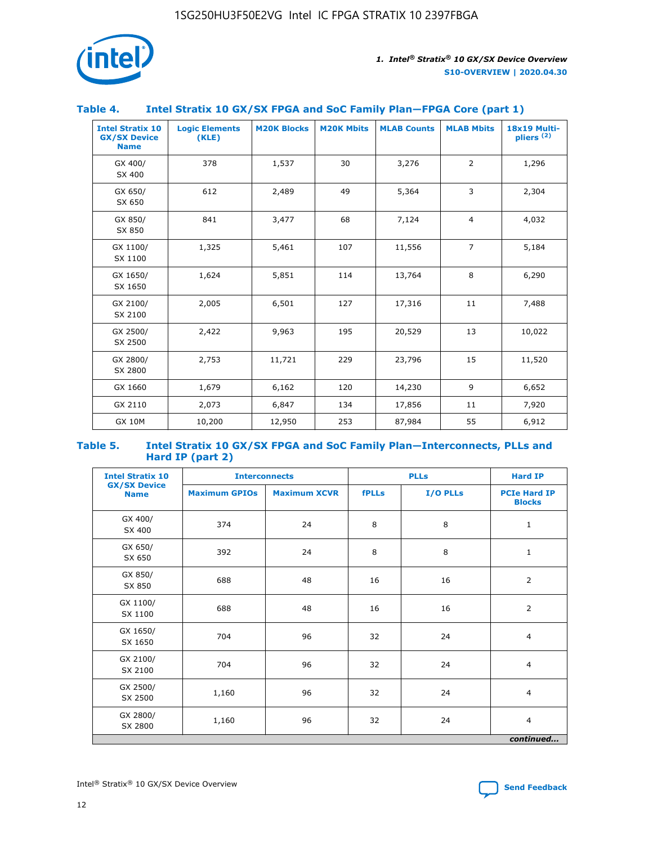

## **Table 4. Intel Stratix 10 GX/SX FPGA and SoC Family Plan—FPGA Core (part 1)**

| <b>Intel Stratix 10</b><br><b>GX/SX Device</b><br><b>Name</b> | <b>Logic Elements</b><br>(KLE) | <b>M20K Blocks</b> | <b>M20K Mbits</b> | <b>MLAB Counts</b> | <b>MLAB Mbits</b> | 18x19 Multi-<br>pliers <sup>(2)</sup> |
|---------------------------------------------------------------|--------------------------------|--------------------|-------------------|--------------------|-------------------|---------------------------------------|
| GX 400/<br>SX 400                                             | 378                            | 1,537              | 30                | 3,276              | $\overline{2}$    | 1,296                                 |
| GX 650/<br>SX 650                                             | 612                            | 2,489              | 49                | 5,364              | 3                 | 2,304                                 |
| GX 850/<br>SX 850                                             | 841                            | 3,477              | 68                | 7,124              | $\overline{4}$    | 4,032                                 |
| GX 1100/<br>SX 1100                                           | 1,325                          | 5,461              | 107               | 11,556             | $\overline{7}$    | 5,184                                 |
| GX 1650/<br>SX 1650                                           | 1,624                          | 5,851              | 114               | 13,764             | 8                 | 6,290                                 |
| GX 2100/<br>SX 2100                                           | 2,005                          | 6,501              | 127               | 17,316             | 11                | 7,488                                 |
| GX 2500/<br>SX 2500                                           | 2,422                          | 9,963              | 195               | 20,529             | 13                | 10,022                                |
| GX 2800/<br>SX 2800                                           | 2,753                          | 11,721             | 229               | 23,796             | 15                | 11,520                                |
| GX 1660                                                       | 1,679                          | 6,162              | 120               | 14,230             | 9                 | 6,652                                 |
| GX 2110                                                       | 2,073                          | 6,847              | 134               | 17,856             | 11                | 7,920                                 |
| <b>GX 10M</b>                                                 | 10,200                         | 12,950             | 253               | 87,984             | 55                | 6,912                                 |

#### **Table 5. Intel Stratix 10 GX/SX FPGA and SoC Family Plan—Interconnects, PLLs and Hard IP (part 2)**

| <b>Intel Stratix 10</b>            | <b>Interconnects</b> |                     |              | <b>PLLs</b> | <b>Hard IP</b>                       |  |
|------------------------------------|----------------------|---------------------|--------------|-------------|--------------------------------------|--|
| <b>GX/SX Device</b><br><b>Name</b> | <b>Maximum GPIOs</b> | <b>Maximum XCVR</b> | <b>fPLLs</b> | I/O PLLs    | <b>PCIe Hard IP</b><br><b>Blocks</b> |  |
| GX 400/<br>SX 400                  | 374                  | 24                  | 8            | 8           | $\mathbf{1}$                         |  |
| GX 650/<br>SX 650                  | 392                  | 24                  | 8            | 8           | $\mathbf{1}$                         |  |
| GX 850/<br>SX 850                  | 688                  | 48                  | 16           | 16          | 2                                    |  |
| GX 1100/<br>SX 1100                | 688                  | 48                  | 16           | 16          | 2                                    |  |
| GX 1650/<br>SX 1650                | 704                  | 96                  | 32           | 24          | $\overline{4}$                       |  |
| GX 2100/<br>SX 2100                | 704                  | 96                  | 32           | 24          | 4                                    |  |
| GX 2500/<br>SX 2500                | 1,160                | 96                  | 32           | 24          | $\overline{4}$                       |  |
| GX 2800/<br>SX 2800                | 1,160                | 96                  | 32           | 24          | $\overline{4}$                       |  |
| continued                          |                      |                     |              |             |                                      |  |

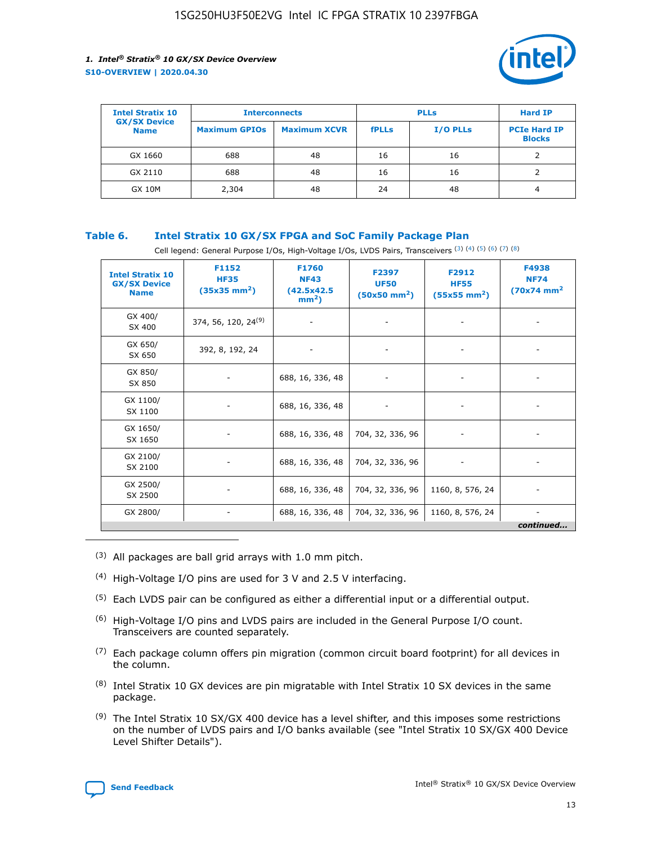

| <b>Intel Stratix 10</b>            | <b>Interconnects</b> |                     | <b>PLLs</b>  |                 | <b>Hard IP</b>                       |
|------------------------------------|----------------------|---------------------|--------------|-----------------|--------------------------------------|
| <b>GX/SX Device</b><br><b>Name</b> | <b>Maximum GPIOs</b> | <b>Maximum XCVR</b> | <b>fPLLs</b> | <b>I/O PLLs</b> | <b>PCIe Hard IP</b><br><b>Blocks</b> |
| GX 1660                            | 688                  | 48                  | 16           | 16              |                                      |
| GX 2110                            | 688                  | 48                  | 16           | 16              |                                      |
| <b>GX 10M</b>                      | 2,304                | 48                  | 24           | 48              | 4                                    |

## **Table 6. Intel Stratix 10 GX/SX FPGA and SoC Family Package Plan**

Cell legend: General Purpose I/Os, High-Voltage I/Os, LVDS Pairs, Transceivers (3) (4) (5) (6) (7) (8)

| <b>Intel Stratix 10</b><br><b>GX/SX Device</b><br><b>Name</b> | F1152<br><b>HF35</b><br>$(35x35 \text{ mm}^2)$ | F1760<br><b>NF43</b><br>(42.5x42.5<br>$mm2$ ) | F2397<br><b>UF50</b><br>$(50x50 \text{ mm}^2)$ | F2912<br><b>HF55</b><br>$(55x55$ mm <sup>2</sup> ) | F4938<br><b>NF74</b><br>$(70x74)$ mm <sup>2</sup> |
|---------------------------------------------------------------|------------------------------------------------|-----------------------------------------------|------------------------------------------------|----------------------------------------------------|---------------------------------------------------|
| GX 400/<br>SX 400                                             | 374, 56, 120, 24 <sup>(9)</sup>                | $\overline{\phantom{a}}$                      | $\overline{\phantom{a}}$                       | ۰                                                  |                                                   |
| GX 650/<br>SX 650                                             | 392, 8, 192, 24                                | $\overline{\phantom{a}}$                      | $\overline{\phantom{a}}$                       |                                                    |                                                   |
| GX 850/<br>SX 850                                             | ۰.                                             | 688, 16, 336, 48                              |                                                |                                                    |                                                   |
| GX 1100/<br>SX 1100                                           |                                                | 688, 16, 336, 48                              |                                                |                                                    |                                                   |
| GX 1650/<br>SX 1650                                           |                                                | 688, 16, 336, 48                              | 704, 32, 336, 96                               |                                                    |                                                   |
| GX 2100/<br>SX 2100                                           | -                                              | 688, 16, 336, 48                              | 704, 32, 336, 96                               | $\overline{\phantom{a}}$                           |                                                   |
| GX 2500/<br>SX 2500                                           |                                                | 688, 16, 336, 48                              | 704, 32, 336, 96                               | 1160, 8, 576, 24                                   |                                                   |
| GX 2800/                                                      | -                                              | 688, 16, 336, 48                              | 704, 32, 336, 96                               | 1160, 8, 576, 24                                   | $\overline{\phantom{a}}$<br>continued             |

- (3) All packages are ball grid arrays with 1.0 mm pitch.
- (4) High-Voltage I/O pins are used for 3 V and 2.5 V interfacing.
- $(5)$  Each LVDS pair can be configured as either a differential input or a differential output.
- (6) High-Voltage I/O pins and LVDS pairs are included in the General Purpose I/O count. Transceivers are counted separately.
- $(7)$  Each package column offers pin migration (common circuit board footprint) for all devices in the column.
- $(8)$  Intel Stratix 10 GX devices are pin migratable with Intel Stratix 10 SX devices in the same package.
- $(9)$  The Intel Stratix 10 SX/GX 400 device has a level shifter, and this imposes some restrictions on the number of LVDS pairs and I/O banks available (see "Intel Stratix 10 SX/GX 400 Device Level Shifter Details").

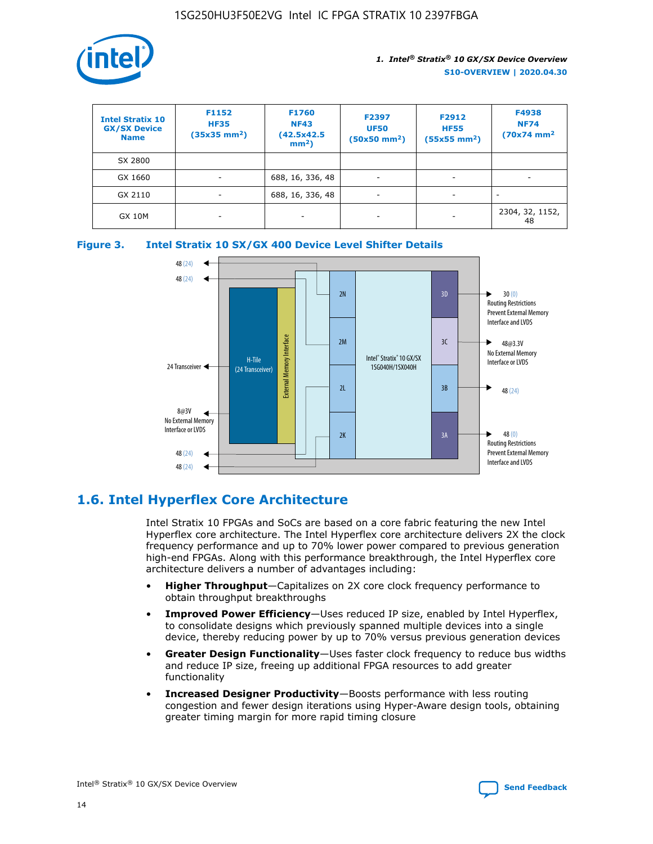

| <b>Intel Stratix 10</b><br><b>GX/SX Device</b><br><b>Name</b> | F1152<br><b>HF35</b><br>$(35x35)$ mm <sup>2</sup> ) | <b>F1760</b><br><b>NF43</b><br>(42.5x42.5<br>$mm2$ ) | F2397<br><b>UF50</b><br>$(50x50 \text{ mm}^2)$ | F2912<br><b>HF55</b><br>$(55x55$ mm <sup>2</sup> ) | F4938<br><b>NF74</b><br>$(70x74)$ mm <sup>2</sup> |
|---------------------------------------------------------------|-----------------------------------------------------|------------------------------------------------------|------------------------------------------------|----------------------------------------------------|---------------------------------------------------|
| SX 2800                                                       |                                                     |                                                      |                                                |                                                    |                                                   |
| GX 1660                                                       | -                                                   | 688, 16, 336, 48                                     | $\overline{\phantom{a}}$                       |                                                    |                                                   |
| GX 2110                                                       |                                                     | 688, 16, 336, 48                                     | $\overline{\phantom{a}}$                       |                                                    |                                                   |
| <b>GX 10M</b>                                                 | ۰                                                   |                                                      |                                                |                                                    | 2304, 32, 1152,<br>48                             |





## **1.6. Intel Hyperflex Core Architecture**

Intel Stratix 10 FPGAs and SoCs are based on a core fabric featuring the new Intel Hyperflex core architecture. The Intel Hyperflex core architecture delivers 2X the clock frequency performance and up to 70% lower power compared to previous generation high-end FPGAs. Along with this performance breakthrough, the Intel Hyperflex core architecture delivers a number of advantages including:

- **Higher Throughput**—Capitalizes on 2X core clock frequency performance to obtain throughput breakthroughs
- **Improved Power Efficiency**—Uses reduced IP size, enabled by Intel Hyperflex, to consolidate designs which previously spanned multiple devices into a single device, thereby reducing power by up to 70% versus previous generation devices
- **Greater Design Functionality**—Uses faster clock frequency to reduce bus widths and reduce IP size, freeing up additional FPGA resources to add greater functionality
- **Increased Designer Productivity**—Boosts performance with less routing congestion and fewer design iterations using Hyper-Aware design tools, obtaining greater timing margin for more rapid timing closure

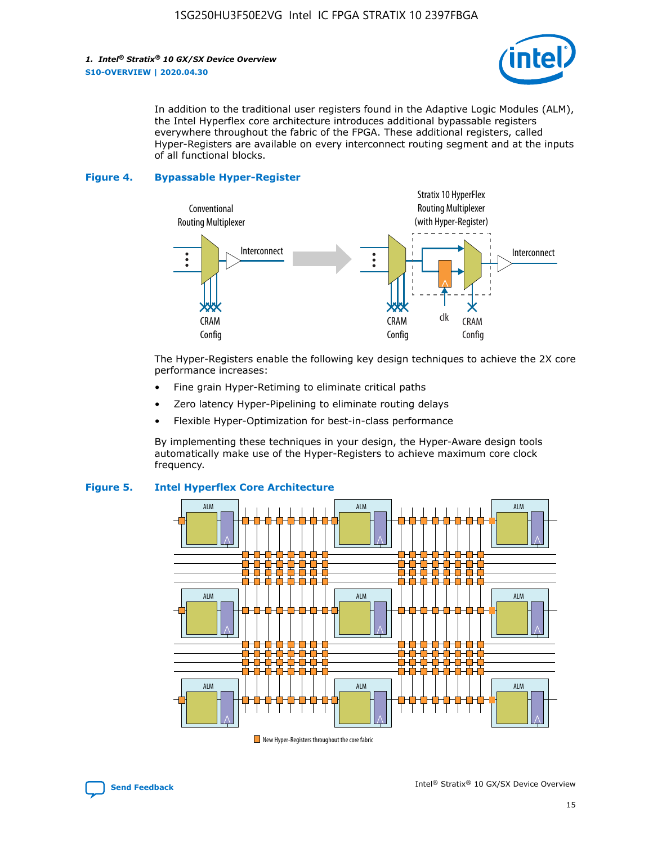

In addition to the traditional user registers found in the Adaptive Logic Modules (ALM), the Intel Hyperflex core architecture introduces additional bypassable registers everywhere throughout the fabric of the FPGA. These additional registers, called Hyper-Registers are available on every interconnect routing segment and at the inputs of all functional blocks.

#### **Figure 4. Bypassable Hyper-Register**



The Hyper-Registers enable the following key design techniques to achieve the 2X core performance increases:

- Fine grain Hyper-Retiming to eliminate critical paths
- Zero latency Hyper-Pipelining to eliminate routing delays
- Flexible Hyper-Optimization for best-in-class performance

By implementing these techniques in your design, the Hyper-Aware design tools automatically make use of the Hyper-Registers to achieve maximum core clock frequency.



## **Figure 5. Intel Hyperflex Core Architecture**

New Hyper-Registers throughout the core fabric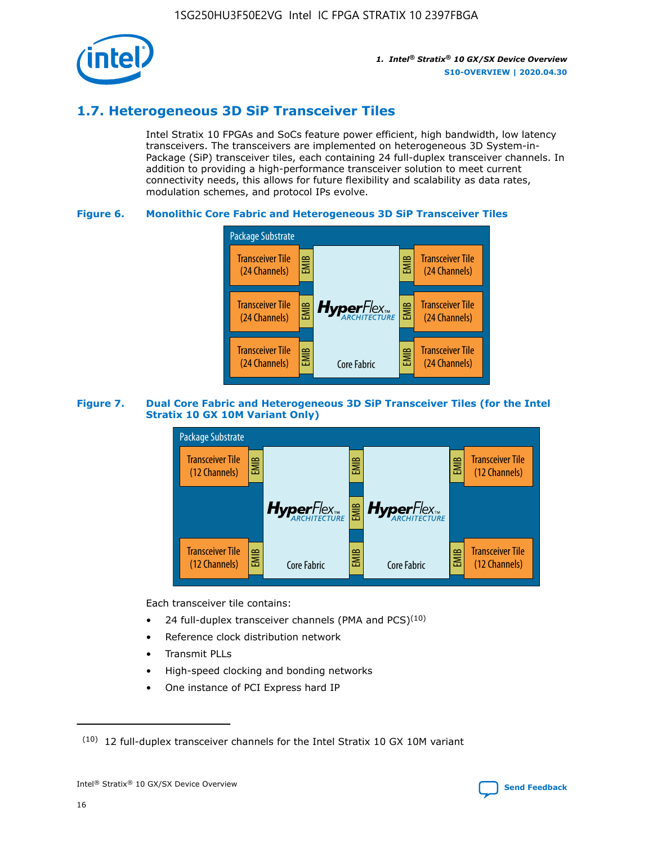

## **1.7. Heterogeneous 3D SiP Transceiver Tiles**

Intel Stratix 10 FPGAs and SoCs feature power efficient, high bandwidth, low latency transceivers. The transceivers are implemented on heterogeneous 3D System-in-Package (SiP) transceiver tiles, each containing 24 full-duplex transceiver channels. In addition to providing a high-performance transceiver solution to meet current connectivity needs, this allows for future flexibility and scalability as data rates, modulation schemes, and protocol IPs evolve.

## **Figure 6. Monolithic Core Fabric and Heterogeneous 3D SiP Transceiver Tiles**



## **Figure 7. Dual Core Fabric and Heterogeneous 3D SiP Transceiver Tiles (for the Intel Stratix 10 GX 10M Variant Only)**



Each transceiver tile contains:

- 24 full-duplex transceiver channels (PMA and PCS) $(10)$
- Reference clock distribution network
- Transmit PLLs
- High-speed clocking and bonding networks
- One instance of PCI Express hard IP

16



 $(10)$  12 full-duplex transceiver channels for the Intel Stratix 10 GX 10M variant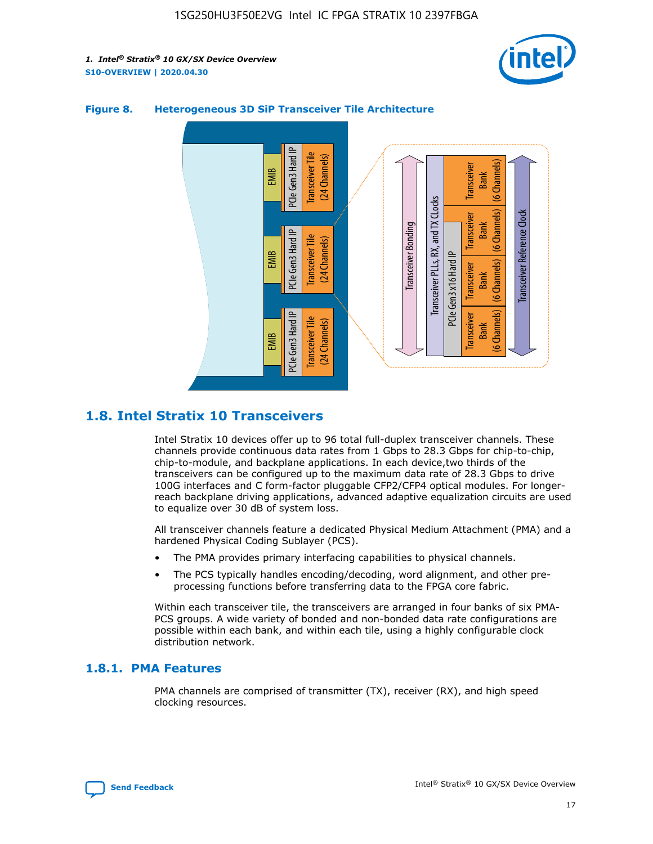



## **Figure 8. Heterogeneous 3D SiP Transceiver Tile Architecture**

## **1.8. Intel Stratix 10 Transceivers**

Intel Stratix 10 devices offer up to 96 total full-duplex transceiver channels. These channels provide continuous data rates from 1 Gbps to 28.3 Gbps for chip-to-chip, chip-to-module, and backplane applications. In each device,two thirds of the transceivers can be configured up to the maximum data rate of 28.3 Gbps to drive 100G interfaces and C form-factor pluggable CFP2/CFP4 optical modules. For longerreach backplane driving applications, advanced adaptive equalization circuits are used to equalize over 30 dB of system loss.

All transceiver channels feature a dedicated Physical Medium Attachment (PMA) and a hardened Physical Coding Sublayer (PCS).

- The PMA provides primary interfacing capabilities to physical channels.
- The PCS typically handles encoding/decoding, word alignment, and other preprocessing functions before transferring data to the FPGA core fabric.

Within each transceiver tile, the transceivers are arranged in four banks of six PMA-PCS groups. A wide variety of bonded and non-bonded data rate configurations are possible within each bank, and within each tile, using a highly configurable clock distribution network.

## **1.8.1. PMA Features**

PMA channels are comprised of transmitter (TX), receiver (RX), and high speed clocking resources.

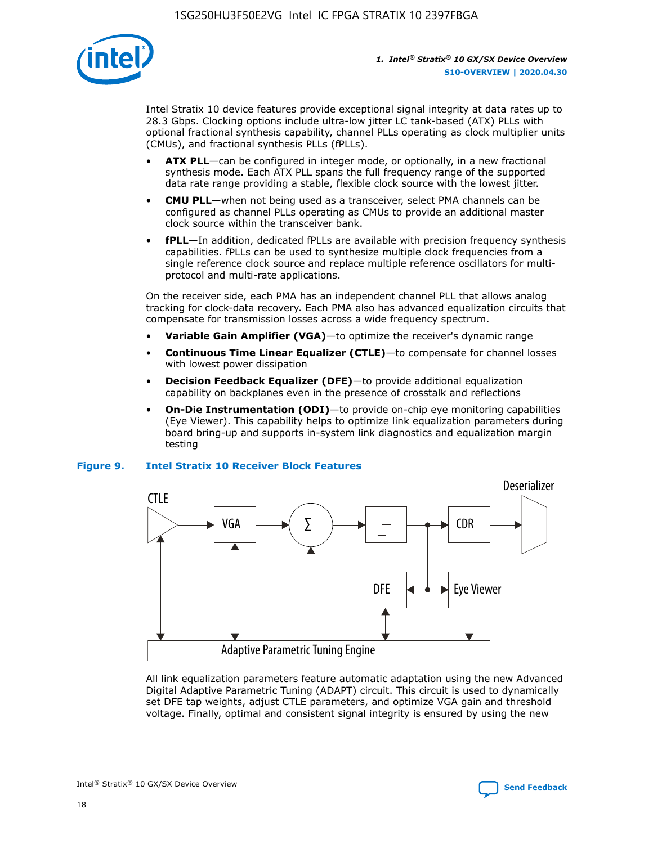

Intel Stratix 10 device features provide exceptional signal integrity at data rates up to 28.3 Gbps. Clocking options include ultra-low jitter LC tank-based (ATX) PLLs with optional fractional synthesis capability, channel PLLs operating as clock multiplier units (CMUs), and fractional synthesis PLLs (fPLLs).

- **ATX PLL**—can be configured in integer mode, or optionally, in a new fractional synthesis mode. Each ATX PLL spans the full frequency range of the supported data rate range providing a stable, flexible clock source with the lowest jitter.
- **CMU PLL**—when not being used as a transceiver, select PMA channels can be configured as channel PLLs operating as CMUs to provide an additional master clock source within the transceiver bank.
- **fPLL**—In addition, dedicated fPLLs are available with precision frequency synthesis capabilities. fPLLs can be used to synthesize multiple clock frequencies from a single reference clock source and replace multiple reference oscillators for multiprotocol and multi-rate applications.

On the receiver side, each PMA has an independent channel PLL that allows analog tracking for clock-data recovery. Each PMA also has advanced equalization circuits that compensate for transmission losses across a wide frequency spectrum.

- **Variable Gain Amplifier (VGA)**—to optimize the receiver's dynamic range
- **Continuous Time Linear Equalizer (CTLE)**—to compensate for channel losses with lowest power dissipation
- **Decision Feedback Equalizer (DFE)**—to provide additional equalization capability on backplanes even in the presence of crosstalk and reflections
- **On-Die Instrumentation (ODI)**—to provide on-chip eye monitoring capabilities (Eye Viewer). This capability helps to optimize link equalization parameters during board bring-up and supports in-system link diagnostics and equalization margin testing

#### **Figure 9. Intel Stratix 10 Receiver Block Features**



All link equalization parameters feature automatic adaptation using the new Advanced Digital Adaptive Parametric Tuning (ADAPT) circuit. This circuit is used to dynamically set DFE tap weights, adjust CTLE parameters, and optimize VGA gain and threshold voltage. Finally, optimal and consistent signal integrity is ensured by using the new



Intel<sup>®</sup> Stratix<sup>®</sup> 10 GX/SX Device Overview **[Send Feedback](mailto:FPGAtechdocfeedback@intel.com?subject=Feedback%20on%20Intel%20Stratix%2010%20GX/SX%20Device%20Overview%20(S10-OVERVIEW%202020.04.30)&body=We%20appreciate%20your%20feedback.%20In%20your%20comments,%20also%20specify%20the%20page%20number%20or%20paragraph.%20Thank%20you.)** Send Feedback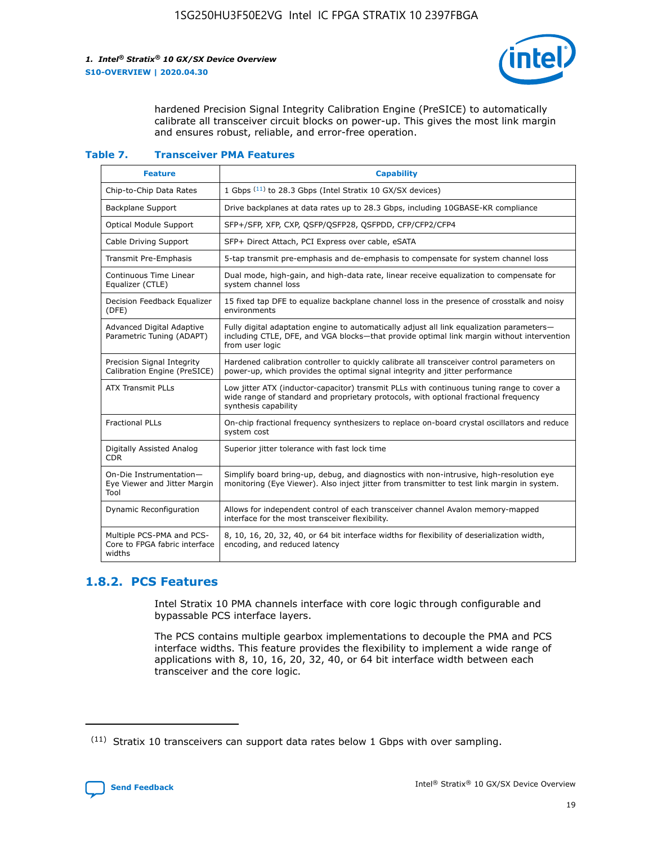

hardened Precision Signal Integrity Calibration Engine (PreSICE) to automatically calibrate all transceiver circuit blocks on power-up. This gives the most link margin and ensures robust, reliable, and error-free operation.

#### **Table 7. Transceiver PMA Features**

| <b>Feature</b>                                                       | <b>Capability</b>                                                                                                                                                                                         |
|----------------------------------------------------------------------|-----------------------------------------------------------------------------------------------------------------------------------------------------------------------------------------------------------|
| Chip-to-Chip Data Rates                                              | 1 Gbps (11) to 28.3 Gbps (Intel Stratix 10 GX/SX devices)                                                                                                                                                 |
| <b>Backplane Support</b>                                             | Drive backplanes at data rates up to 28.3 Gbps, including 10GBASE-KR compliance                                                                                                                           |
| Optical Module Support                                               | SFP+/SFP, XFP, CXP, QSFP/QSFP28, QSFPDD, CFP/CFP2/CFP4                                                                                                                                                    |
| Cable Driving Support                                                | SFP+ Direct Attach, PCI Express over cable, eSATA                                                                                                                                                         |
| <b>Transmit Pre-Emphasis</b>                                         | 5-tap transmit pre-emphasis and de-emphasis to compensate for system channel loss                                                                                                                         |
| Continuous Time Linear<br>Equalizer (CTLE)                           | Dual mode, high-gain, and high-data rate, linear receive equalization to compensate for<br>system channel loss                                                                                            |
| Decision Feedback Equalizer<br>(DFE)                                 | 15 fixed tap DFE to equalize backplane channel loss in the presence of crosstalk and noisy<br>environments                                                                                                |
| Advanced Digital Adaptive<br>Parametric Tuning (ADAPT)               | Fully digital adaptation engine to automatically adjust all link equalization parameters-<br>including CTLE, DFE, and VGA blocks-that provide optimal link margin without intervention<br>from user logic |
| Precision Signal Integrity<br>Calibration Engine (PreSICE)           | Hardened calibration controller to quickly calibrate all transceiver control parameters on<br>power-up, which provides the optimal signal integrity and jitter performance                                |
| <b>ATX Transmit PLLs</b>                                             | Low jitter ATX (inductor-capacitor) transmit PLLs with continuous tuning range to cover a<br>wide range of standard and proprietary protocols, with optional fractional frequency<br>synthesis capability |
| <b>Fractional PLLs</b>                                               | On-chip fractional frequency synthesizers to replace on-board crystal oscillators and reduce<br>system cost                                                                                               |
| Digitally Assisted Analog<br>CDR.                                    | Superior jitter tolerance with fast lock time                                                                                                                                                             |
| On-Die Instrumentation-<br>Eye Viewer and Jitter Margin<br>Tool      | Simplify board bring-up, debug, and diagnostics with non-intrusive, high-resolution eye<br>monitoring (Eye Viewer). Also inject jitter from transmitter to test link margin in system.                    |
| Dynamic Reconfiguration                                              | Allows for independent control of each transceiver channel Avalon memory-mapped<br>interface for the most transceiver flexibility.                                                                        |
| Multiple PCS-PMA and PCS-<br>Core to FPGA fabric interface<br>widths | 8, 10, 16, 20, 32, 40, or 64 bit interface widths for flexibility of deserialization width,<br>encoding, and reduced latency                                                                              |

## **1.8.2. PCS Features**

Intel Stratix 10 PMA channels interface with core logic through configurable and bypassable PCS interface layers.

The PCS contains multiple gearbox implementations to decouple the PMA and PCS interface widths. This feature provides the flexibility to implement a wide range of applications with 8, 10, 16, 20, 32, 40, or 64 bit interface width between each transceiver and the core logic.

 $(11)$  Stratix 10 transceivers can support data rates below 1 Gbps with over sampling.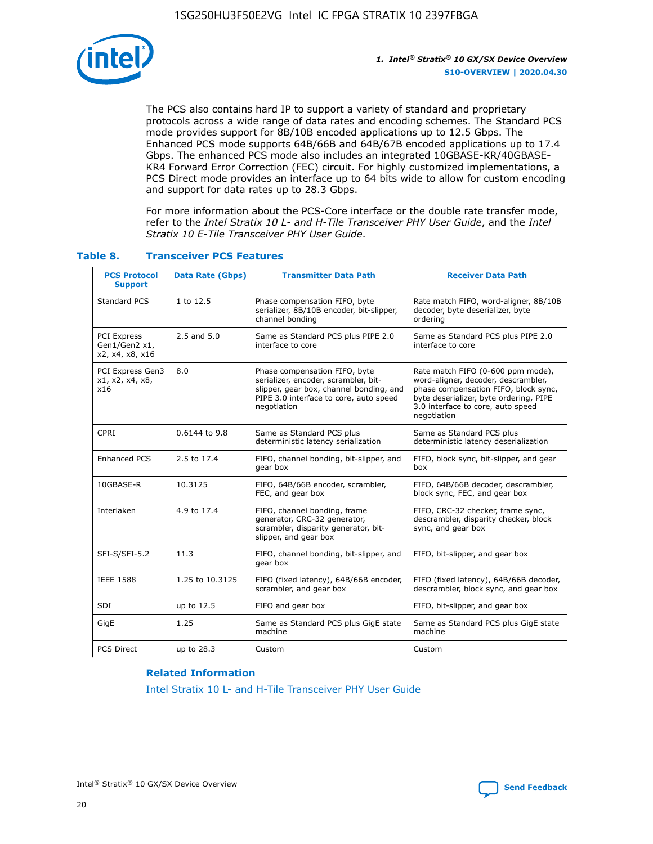

The PCS also contains hard IP to support a variety of standard and proprietary protocols across a wide range of data rates and encoding schemes. The Standard PCS mode provides support for 8B/10B encoded applications up to 12.5 Gbps. The Enhanced PCS mode supports 64B/66B and 64B/67B encoded applications up to 17.4 Gbps. The enhanced PCS mode also includes an integrated 10GBASE-KR/40GBASE-KR4 Forward Error Correction (FEC) circuit. For highly customized implementations, a PCS Direct mode provides an interface up to 64 bits wide to allow for custom encoding and support for data rates up to 28.3 Gbps.

For more information about the PCS-Core interface or the double rate transfer mode, refer to the *Intel Stratix 10 L- and H-Tile Transceiver PHY User Guide*, and the *Intel Stratix 10 E-Tile Transceiver PHY User Guide*.

| <b>PCS Protocol</b><br><b>Support</b>           | <b>Data Rate (Gbps)</b> | <b>Transmitter Data Path</b>                                                                                                                                              | <b>Receiver Data Path</b>                                                                                                                                                                                      |
|-------------------------------------------------|-------------------------|---------------------------------------------------------------------------------------------------------------------------------------------------------------------------|----------------------------------------------------------------------------------------------------------------------------------------------------------------------------------------------------------------|
| Standard PCS                                    | 1 to 12.5               | Phase compensation FIFO, byte<br>serializer, 8B/10B encoder, bit-slipper,<br>channel bonding                                                                              | Rate match FIFO, word-aligner, 8B/10B<br>decoder, byte deserializer, byte<br>ordering                                                                                                                          |
| PCI Express<br>Gen1/Gen2 x1,<br>x2, x4, x8, x16 | $2.5$ and $5.0$         | Same as Standard PCS plus PIPE 2.0<br>interface to core                                                                                                                   | Same as Standard PCS plus PIPE 2.0<br>interface to core                                                                                                                                                        |
| PCI Express Gen3<br>x1, x2, x4, x8,<br>x16      | 8.0                     | Phase compensation FIFO, byte<br>serializer, encoder, scrambler, bit-<br>slipper, gear box, channel bonding, and<br>PIPE 3.0 interface to core, auto speed<br>negotiation | Rate match FIFO (0-600 ppm mode),<br>word-aligner, decoder, descrambler,<br>phase compensation FIFO, block sync,<br>byte deserializer, byte ordering, PIPE<br>3.0 interface to core, auto speed<br>negotiation |
| CPRI                                            | 0.6144 to 9.8           | Same as Standard PCS plus<br>deterministic latency serialization                                                                                                          | Same as Standard PCS plus<br>deterministic latency deserialization                                                                                                                                             |
| <b>Enhanced PCS</b>                             | 2.5 to 17.4             | FIFO, channel bonding, bit-slipper, and<br>gear box                                                                                                                       | FIFO, block sync, bit-slipper, and gear<br>box                                                                                                                                                                 |
| 10GBASE-R                                       | 10.3125                 | FIFO, 64B/66B encoder, scrambler,<br>FEC, and gear box                                                                                                                    | FIFO, 64B/66B decoder, descrambler,<br>block sync, FEC, and gear box                                                                                                                                           |
| Interlaken                                      | 4.9 to 17.4             | FIFO, channel bonding, frame<br>generator, CRC-32 generator,<br>scrambler, disparity generator, bit-<br>slipper, and gear box                                             | FIFO, CRC-32 checker, frame sync,<br>descrambler, disparity checker, block<br>sync, and gear box                                                                                                               |
| SFI-S/SFI-5.2                                   | 11.3                    | FIFO, channel bonding, bit-slipper, and<br>gear box                                                                                                                       | FIFO, bit-slipper, and gear box                                                                                                                                                                                |
| <b>IEEE 1588</b>                                | 1.25 to 10.3125         | FIFO (fixed latency), 64B/66B encoder,<br>scrambler, and gear box                                                                                                         | FIFO (fixed latency), 64B/66B decoder,<br>descrambler, block sync, and gear box                                                                                                                                |
| SDI                                             | up to 12.5              | FIFO and gear box                                                                                                                                                         | FIFO, bit-slipper, and gear box                                                                                                                                                                                |
| GigE                                            | 1.25                    | Same as Standard PCS plus GigE state<br>machine                                                                                                                           | Same as Standard PCS plus GigE state<br>machine                                                                                                                                                                |
| <b>PCS Direct</b>                               | up to 28.3              | Custom                                                                                                                                                                    | Custom                                                                                                                                                                                                         |

## **Table 8. Transceiver PCS Features**

#### **Related Information**

[Intel Stratix 10 L- and H-Tile Transceiver PHY User Guide](https://www.altera.com/documentation/wry1479165198810.html)

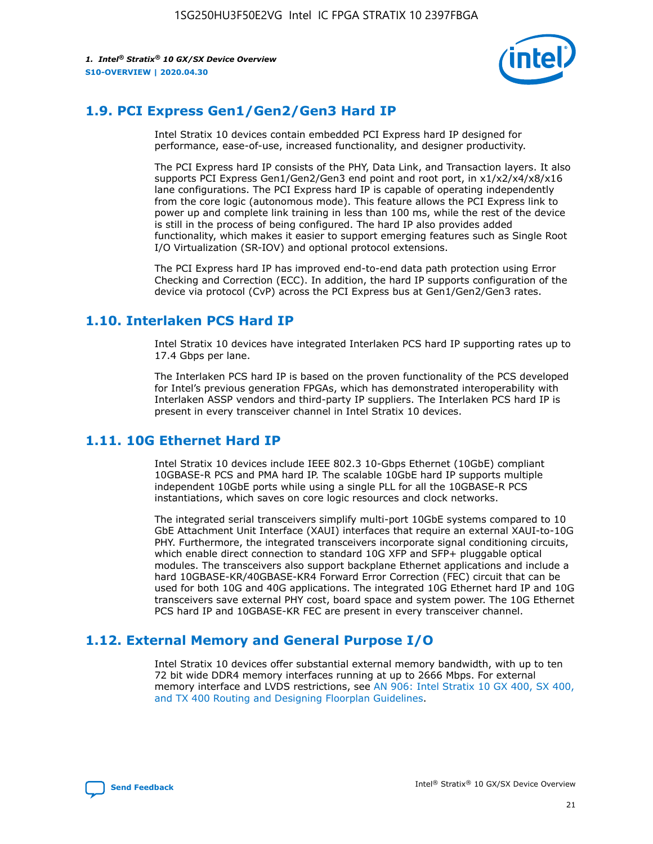

## **1.9. PCI Express Gen1/Gen2/Gen3 Hard IP**

Intel Stratix 10 devices contain embedded PCI Express hard IP designed for performance, ease-of-use, increased functionality, and designer productivity.

The PCI Express hard IP consists of the PHY, Data Link, and Transaction layers. It also supports PCI Express Gen1/Gen2/Gen3 end point and root port, in x1/x2/x4/x8/x16 lane configurations. The PCI Express hard IP is capable of operating independently from the core logic (autonomous mode). This feature allows the PCI Express link to power up and complete link training in less than 100 ms, while the rest of the device is still in the process of being configured. The hard IP also provides added functionality, which makes it easier to support emerging features such as Single Root I/O Virtualization (SR-IOV) and optional protocol extensions.

The PCI Express hard IP has improved end-to-end data path protection using Error Checking and Correction (ECC). In addition, the hard IP supports configuration of the device via protocol (CvP) across the PCI Express bus at Gen1/Gen2/Gen3 rates.

## **1.10. Interlaken PCS Hard IP**

Intel Stratix 10 devices have integrated Interlaken PCS hard IP supporting rates up to 17.4 Gbps per lane.

The Interlaken PCS hard IP is based on the proven functionality of the PCS developed for Intel's previous generation FPGAs, which has demonstrated interoperability with Interlaken ASSP vendors and third-party IP suppliers. The Interlaken PCS hard IP is present in every transceiver channel in Intel Stratix 10 devices.

## **1.11. 10G Ethernet Hard IP**

Intel Stratix 10 devices include IEEE 802.3 10-Gbps Ethernet (10GbE) compliant 10GBASE-R PCS and PMA hard IP. The scalable 10GbE hard IP supports multiple independent 10GbE ports while using a single PLL for all the 10GBASE-R PCS instantiations, which saves on core logic resources and clock networks.

The integrated serial transceivers simplify multi-port 10GbE systems compared to 10 GbE Attachment Unit Interface (XAUI) interfaces that require an external XAUI-to-10G PHY. Furthermore, the integrated transceivers incorporate signal conditioning circuits, which enable direct connection to standard 10G XFP and SFP+ pluggable optical modules. The transceivers also support backplane Ethernet applications and include a hard 10GBASE-KR/40GBASE-KR4 Forward Error Correction (FEC) circuit that can be used for both 10G and 40G applications. The integrated 10G Ethernet hard IP and 10G transceivers save external PHY cost, board space and system power. The 10G Ethernet PCS hard IP and 10GBASE-KR FEC are present in every transceiver channel.

## **1.12. External Memory and General Purpose I/O**

Intel Stratix 10 devices offer substantial external memory bandwidth, with up to ten 72 bit wide DDR4 memory interfaces running at up to 2666 Mbps. For external memory interface and LVDS restrictions, see [AN 906: Intel Stratix 10 GX 400, SX 400,](https://www.intel.com/content/www/us/en/programmable/documentation/sjf1574667190623.html#bft1574667627484) [and TX 400 Routing and Designing Floorplan Guidelines.](https://www.intel.com/content/www/us/en/programmable/documentation/sjf1574667190623.html#bft1574667627484)

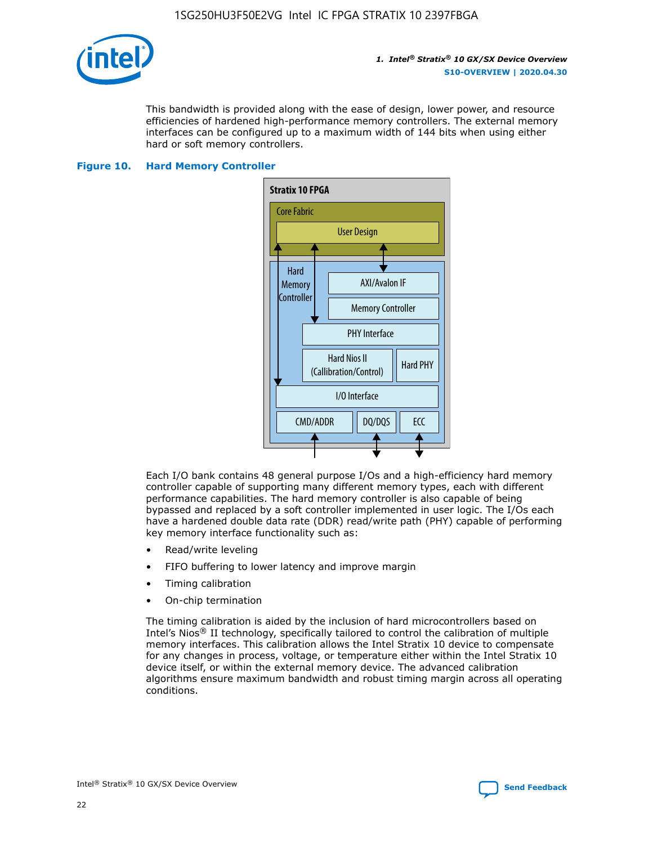

This bandwidth is provided along with the ease of design, lower power, and resource efficiencies of hardened high-performance memory controllers. The external memory interfaces can be configured up to a maximum width of 144 bits when using either hard or soft memory controllers.

#### **Figure 10. Hard Memory Controller**



Each I/O bank contains 48 general purpose I/Os and a high-efficiency hard memory controller capable of supporting many different memory types, each with different performance capabilities. The hard memory controller is also capable of being bypassed and replaced by a soft controller implemented in user logic. The I/Os each have a hardened double data rate (DDR) read/write path (PHY) capable of performing key memory interface functionality such as:

- Read/write leveling
- FIFO buffering to lower latency and improve margin
- Timing calibration
- On-chip termination

The timing calibration is aided by the inclusion of hard microcontrollers based on Intel's Nios® II technology, specifically tailored to control the calibration of multiple memory interfaces. This calibration allows the Intel Stratix 10 device to compensate for any changes in process, voltage, or temperature either within the Intel Stratix 10 device itself, or within the external memory device. The advanced calibration algorithms ensure maximum bandwidth and robust timing margin across all operating conditions.

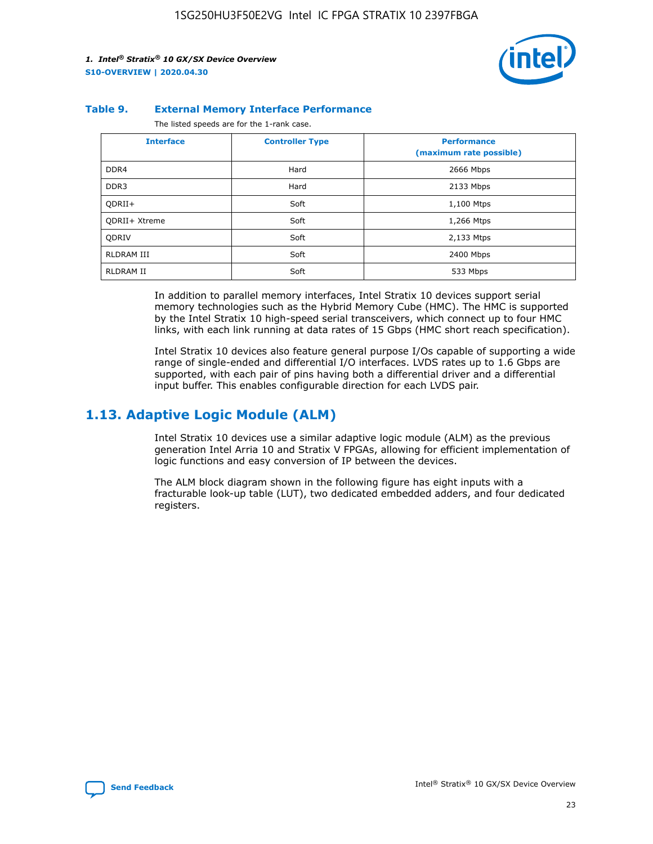

#### **Table 9. External Memory Interface Performance**

The listed speeds are for the 1-rank case.

| <b>Interface</b>     | <b>Controller Type</b> | <b>Performance</b><br>(maximum rate possible) |
|----------------------|------------------------|-----------------------------------------------|
| DDR4                 | Hard                   | 2666 Mbps                                     |
| DDR <sub>3</sub>     | Hard                   | 2133 Mbps                                     |
| QDRII+               | Soft                   | 1,100 Mtps                                    |
| <b>ODRII+ Xtreme</b> | Soft                   | 1,266 Mtps                                    |
| <b>ODRIV</b>         | Soft                   | 2,133 Mtps                                    |
| RLDRAM III           | Soft                   | 2400 Mbps                                     |
| <b>RLDRAM II</b>     | Soft                   | 533 Mbps                                      |

In addition to parallel memory interfaces, Intel Stratix 10 devices support serial memory technologies such as the Hybrid Memory Cube (HMC). The HMC is supported by the Intel Stratix 10 high-speed serial transceivers, which connect up to four HMC links, with each link running at data rates of 15 Gbps (HMC short reach specification).

Intel Stratix 10 devices also feature general purpose I/Os capable of supporting a wide range of single-ended and differential I/O interfaces. LVDS rates up to 1.6 Gbps are supported, with each pair of pins having both a differential driver and a differential input buffer. This enables configurable direction for each LVDS pair.

## **1.13. Adaptive Logic Module (ALM)**

Intel Stratix 10 devices use a similar adaptive logic module (ALM) as the previous generation Intel Arria 10 and Stratix V FPGAs, allowing for efficient implementation of logic functions and easy conversion of IP between the devices.

The ALM block diagram shown in the following figure has eight inputs with a fracturable look-up table (LUT), two dedicated embedded adders, and four dedicated registers.

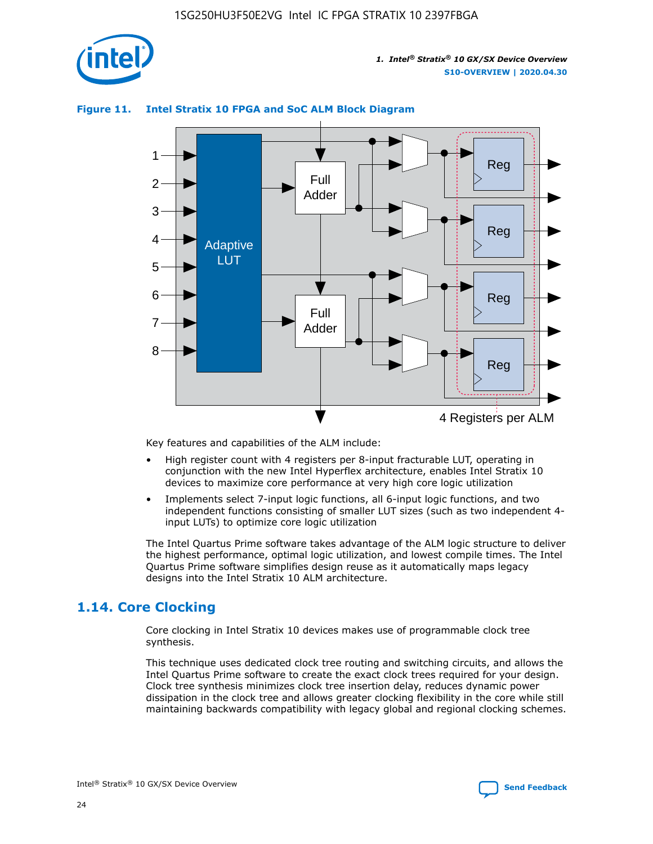

## **Figure 11. Intel Stratix 10 FPGA and SoC ALM Block Diagram**



Key features and capabilities of the ALM include:

- High register count with 4 registers per 8-input fracturable LUT, operating in conjunction with the new Intel Hyperflex architecture, enables Intel Stratix 10 devices to maximize core performance at very high core logic utilization
- Implements select 7-input logic functions, all 6-input logic functions, and two independent functions consisting of smaller LUT sizes (such as two independent 4 input LUTs) to optimize core logic utilization

The Intel Quartus Prime software takes advantage of the ALM logic structure to deliver the highest performance, optimal logic utilization, and lowest compile times. The Intel Quartus Prime software simplifies design reuse as it automatically maps legacy designs into the Intel Stratix 10 ALM architecture.

## **1.14. Core Clocking**

Core clocking in Intel Stratix 10 devices makes use of programmable clock tree synthesis.

This technique uses dedicated clock tree routing and switching circuits, and allows the Intel Quartus Prime software to create the exact clock trees required for your design. Clock tree synthesis minimizes clock tree insertion delay, reduces dynamic power dissipation in the clock tree and allows greater clocking flexibility in the core while still maintaining backwards compatibility with legacy global and regional clocking schemes.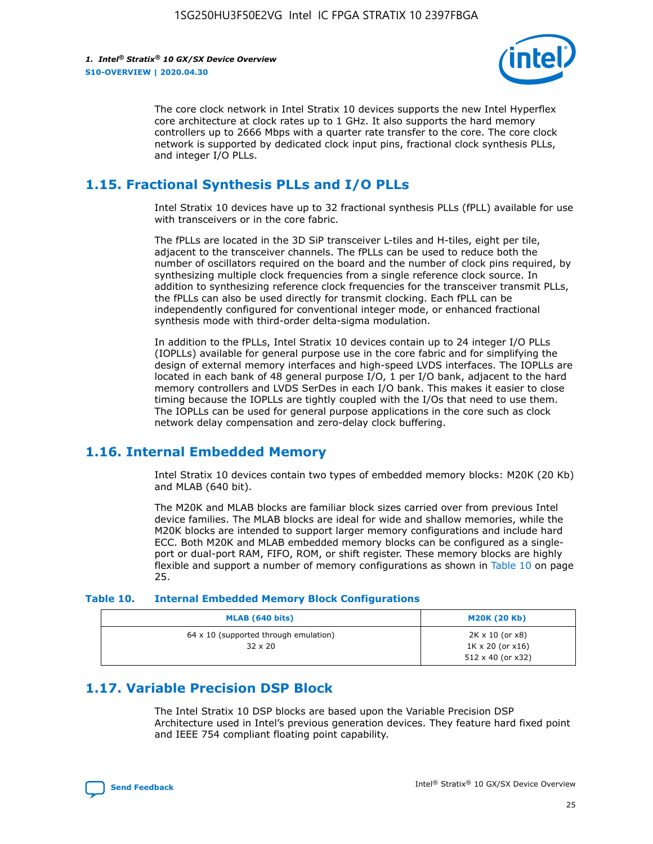

The core clock network in Intel Stratix 10 devices supports the new Intel Hyperflex core architecture at clock rates up to 1 GHz. It also supports the hard memory controllers up to 2666 Mbps with a quarter rate transfer to the core. The core clock network is supported by dedicated clock input pins, fractional clock synthesis PLLs, and integer I/O PLLs.

## **1.15. Fractional Synthesis PLLs and I/O PLLs**

Intel Stratix 10 devices have up to 32 fractional synthesis PLLs (fPLL) available for use with transceivers or in the core fabric.

The fPLLs are located in the 3D SiP transceiver L-tiles and H-tiles, eight per tile, adjacent to the transceiver channels. The fPLLs can be used to reduce both the number of oscillators required on the board and the number of clock pins required, by synthesizing multiple clock frequencies from a single reference clock source. In addition to synthesizing reference clock frequencies for the transceiver transmit PLLs, the fPLLs can also be used directly for transmit clocking. Each fPLL can be independently configured for conventional integer mode, or enhanced fractional synthesis mode with third-order delta-sigma modulation.

In addition to the fPLLs, Intel Stratix 10 devices contain up to 24 integer I/O PLLs (IOPLLs) available for general purpose use in the core fabric and for simplifying the design of external memory interfaces and high-speed LVDS interfaces. The IOPLLs are located in each bank of 48 general purpose I/O, 1 per I/O bank, adjacent to the hard memory controllers and LVDS SerDes in each I/O bank. This makes it easier to close timing because the IOPLLs are tightly coupled with the I/Os that need to use them. The IOPLLs can be used for general purpose applications in the core such as clock network delay compensation and zero-delay clock buffering.

## **1.16. Internal Embedded Memory**

Intel Stratix 10 devices contain two types of embedded memory blocks: M20K (20 Kb) and MLAB (640 bit).

The M20K and MLAB blocks are familiar block sizes carried over from previous Intel device families. The MLAB blocks are ideal for wide and shallow memories, while the M20K blocks are intended to support larger memory configurations and include hard ECC. Both M20K and MLAB embedded memory blocks can be configured as a singleport or dual-port RAM, FIFO, ROM, or shift register. These memory blocks are highly flexible and support a number of memory configurations as shown in Table 10 on page 25.

#### **Table 10. Internal Embedded Memory Block Configurations**

| MLAB (640 bits)                                                | <b>M20K (20 Kb)</b>                                                                    |
|----------------------------------------------------------------|----------------------------------------------------------------------------------------|
| $64 \times 10$ (supported through emulation)<br>$32 \times 20$ | $2K \times 10$ (or $x8$ )<br>$1K \times 20$ (or $x16$ )<br>$512 \times 40$ (or $x32$ ) |

## **1.17. Variable Precision DSP Block**

The Intel Stratix 10 DSP blocks are based upon the Variable Precision DSP Architecture used in Intel's previous generation devices. They feature hard fixed point and IEEE 754 compliant floating point capability.

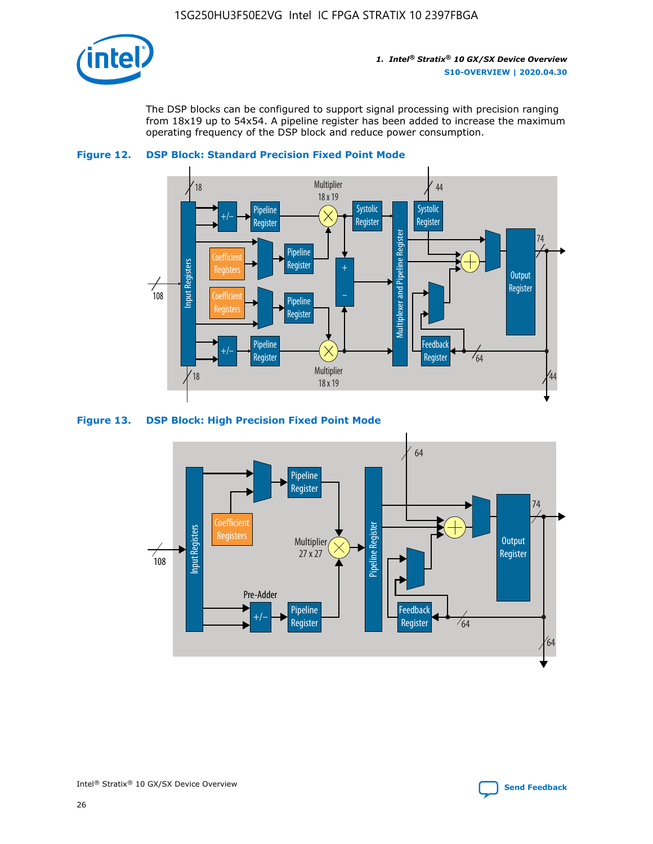

The DSP blocks can be configured to support signal processing with precision ranging from 18x19 up to 54x54. A pipeline register has been added to increase the maximum operating frequency of the DSP block and reduce power consumption.





#### **Figure 13. DSP Block: High Precision Fixed Point Mode**

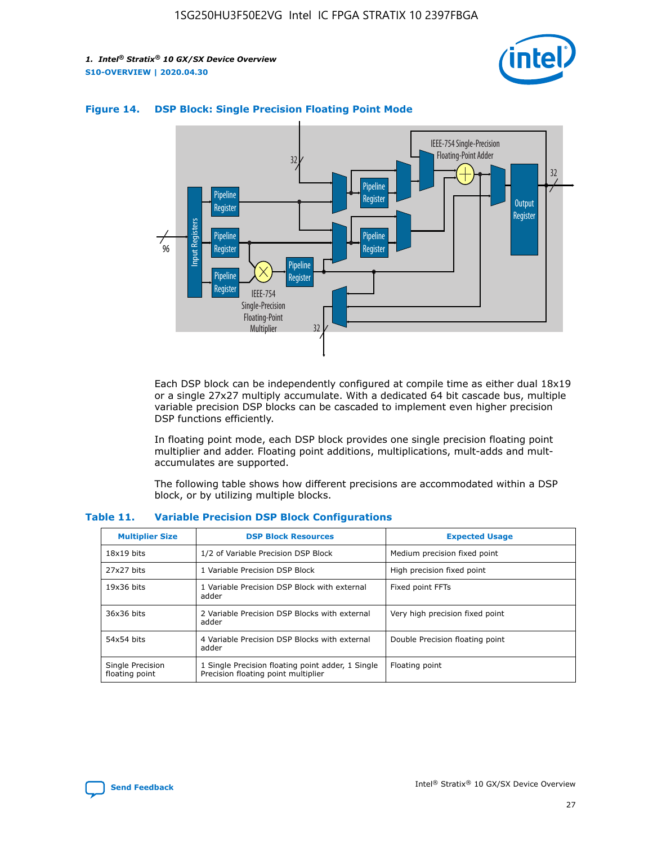



## **Figure 14. DSP Block: Single Precision Floating Point Mode**

Each DSP block can be independently configured at compile time as either dual 18x19 or a single 27x27 multiply accumulate. With a dedicated 64 bit cascade bus, multiple variable precision DSP blocks can be cascaded to implement even higher precision DSP functions efficiently.

In floating point mode, each DSP block provides one single precision floating point multiplier and adder. Floating point additions, multiplications, mult-adds and multaccumulates are supported.

The following table shows how different precisions are accommodated within a DSP block, or by utilizing multiple blocks.

| <b>Multiplier Size</b>             | <b>DSP Block Resources</b>                                                               | <b>Expected Usage</b>           |
|------------------------------------|------------------------------------------------------------------------------------------|---------------------------------|
| $18x19$ bits                       | 1/2 of Variable Precision DSP Block                                                      | Medium precision fixed point    |
| 27x27 bits                         | 1 Variable Precision DSP Block                                                           | High precision fixed point      |
| $19x36$ bits                       | 1 Variable Precision DSP Block with external<br>adder                                    | Fixed point FFTs                |
| 36x36 bits                         | 2 Variable Precision DSP Blocks with external<br>adder                                   | Very high precision fixed point |
| 54x54 bits                         | 4 Variable Precision DSP Blocks with external<br>adder                                   | Double Precision floating point |
| Single Precision<br>floating point | 1 Single Precision floating point adder, 1 Single<br>Precision floating point multiplier | Floating point                  |

#### **Table 11. Variable Precision DSP Block Configurations**

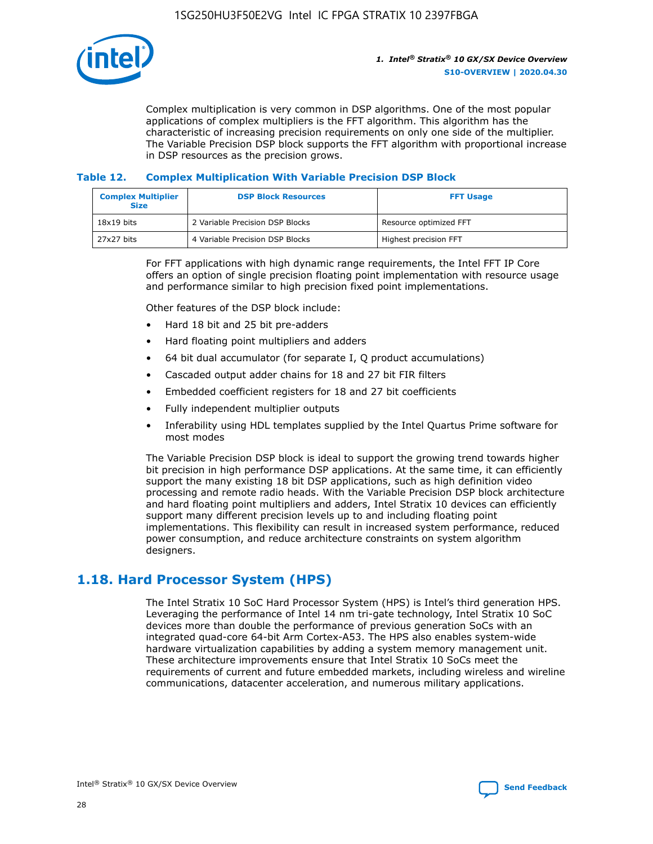

Complex multiplication is very common in DSP algorithms. One of the most popular applications of complex multipliers is the FFT algorithm. This algorithm has the characteristic of increasing precision requirements on only one side of the multiplier. The Variable Precision DSP block supports the FFT algorithm with proportional increase in DSP resources as the precision grows.

## **Table 12. Complex Multiplication With Variable Precision DSP Block**

| <b>Complex Multiplier</b><br><b>Size</b> | <b>DSP Block Resources</b>      | <b>FFT Usage</b>       |
|------------------------------------------|---------------------------------|------------------------|
| $18x19$ bits                             | 2 Variable Precision DSP Blocks | Resource optimized FFT |
| 27x27 bits                               | 4 Variable Precision DSP Blocks | Highest precision FFT  |

For FFT applications with high dynamic range requirements, the Intel FFT IP Core offers an option of single precision floating point implementation with resource usage and performance similar to high precision fixed point implementations.

Other features of the DSP block include:

- Hard 18 bit and 25 bit pre-adders
- Hard floating point multipliers and adders
- 64 bit dual accumulator (for separate I, Q product accumulations)
- Cascaded output adder chains for 18 and 27 bit FIR filters
- Embedded coefficient registers for 18 and 27 bit coefficients
- Fully independent multiplier outputs
- Inferability using HDL templates supplied by the Intel Quartus Prime software for most modes

The Variable Precision DSP block is ideal to support the growing trend towards higher bit precision in high performance DSP applications. At the same time, it can efficiently support the many existing 18 bit DSP applications, such as high definition video processing and remote radio heads. With the Variable Precision DSP block architecture and hard floating point multipliers and adders, Intel Stratix 10 devices can efficiently support many different precision levels up to and including floating point implementations. This flexibility can result in increased system performance, reduced power consumption, and reduce architecture constraints on system algorithm designers.

## **1.18. Hard Processor System (HPS)**

The Intel Stratix 10 SoC Hard Processor System (HPS) is Intel's third generation HPS. Leveraging the performance of Intel 14 nm tri-gate technology, Intel Stratix 10 SoC devices more than double the performance of previous generation SoCs with an integrated quad-core 64-bit Arm Cortex-A53. The HPS also enables system-wide hardware virtualization capabilities by adding a system memory management unit. These architecture improvements ensure that Intel Stratix 10 SoCs meet the requirements of current and future embedded markets, including wireless and wireline communications, datacenter acceleration, and numerous military applications.

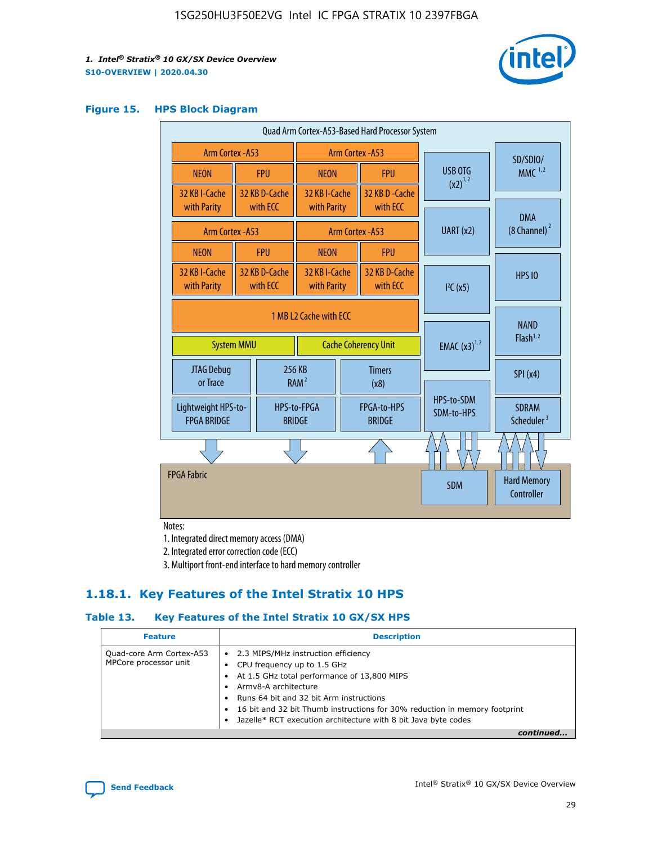

#### **Figure 15. HPS Block Diagram**

| Quad Arm Cortex-A53-Based Hard Processor System |  |                             |                              |                          |                                     |                          |                                        |
|-------------------------------------------------|--|-----------------------------|------------------------------|--------------------------|-------------------------------------|--------------------------|----------------------------------------|
| <b>Arm Cortex - A53</b>                         |  |                             | Arm Cortex - A53             |                          |                                     | SD/SDIO/                 |                                        |
| <b>NEON</b>                                     |  | <b>FPU</b>                  | <b>NEON</b>                  |                          | <b>FPU</b>                          | USB OTG<br>$(x2)^{1,2}$  | $MMC$ <sup>1,2</sup>                   |
| 32 KB I-Cache<br>with Parity                    |  | 32 KB D-Cache<br>with ECC   | 32 KB I-Cache<br>with Parity |                          | 32 KB D - Cache<br>with ECC         |                          |                                        |
|                                                 |  |                             |                              |                          |                                     |                          | <b>DMA</b>                             |
| <b>Arm Cortex - A53</b>                         |  |                             |                              |                          | Arm Cortex - A53                    | UART (x2)                | $(8$ Channel) $^2$                     |
| <b>NEON</b>                                     |  | <b>FPU</b>                  | <b>NEON</b>                  |                          | <b>FPU</b>                          |                          |                                        |
| 32 KB I-Cache<br>with Parity                    |  | 32 KB D-Cache<br>with ECC   | 32 KB I-Cache<br>with Parity |                          | 32 KB D-Cache<br>with ECC           | I <sup>2</sup> C(x5)     | <b>HPS 10</b>                          |
| 1 MB L2 Cache with ECC<br><b>System MMU</b>     |  | <b>Cache Coherency Unit</b> |                              | <b>EMAC</b> $(x3)^{1,2}$ | <b>NAND</b><br>Flash <sup>1,2</sup> |                          |                                        |
| JTAG Debug<br>or Trace                          |  |                             | 256 KB<br>RAM <sup>2</sup>   | <b>Timers</b><br>(x8)    |                                     |                          | SPI(x4)                                |
| Lightweight HPS-to-<br><b>FPGA BRIDGE</b>       |  |                             | HPS-to-FPGA<br><b>BRIDGE</b> |                          | FPGA-to-HPS<br><b>BRIDGE</b>        | HPS-to-SDM<br>SDM-to-HPS | <b>SDRAM</b><br>Scheduler <sup>3</sup> |
|                                                 |  |                             |                              |                          |                                     |                          |                                        |
| <b>FPGA Fabric</b>                              |  |                             |                              |                          |                                     | <b>SDM</b>               | <b>Hard Memory</b><br>Controller       |

Notes:

1. Integrated direct memory access (DMA)

2. Integrated error correction code (ECC)

3. Multiport front-end interface to hard memory controller

## **1.18.1. Key Features of the Intel Stratix 10 HPS**

## **Table 13. Key Features of the Intel Stratix 10 GX/SX HPS**

| <b>Feature</b>                                    | <b>Description</b>                                                                                                                                                                                                                                                                                                                     |  |
|---------------------------------------------------|----------------------------------------------------------------------------------------------------------------------------------------------------------------------------------------------------------------------------------------------------------------------------------------------------------------------------------------|--|
| Quad-core Arm Cortex-A53<br>MPCore processor unit | • 2.3 MIPS/MHz instruction efficiency<br>CPU frequency up to 1.5 GHz<br>At 1.5 GHz total performance of 13,800 MIPS<br>Army8-A architecture<br>Runs 64 bit and 32 bit Arm instructions<br>16 bit and 32 bit Thumb instructions for 30% reduction in memory footprint<br>Jazelle* RCT execution architecture with 8 bit Java byte codes |  |
|                                                   |                                                                                                                                                                                                                                                                                                                                        |  |

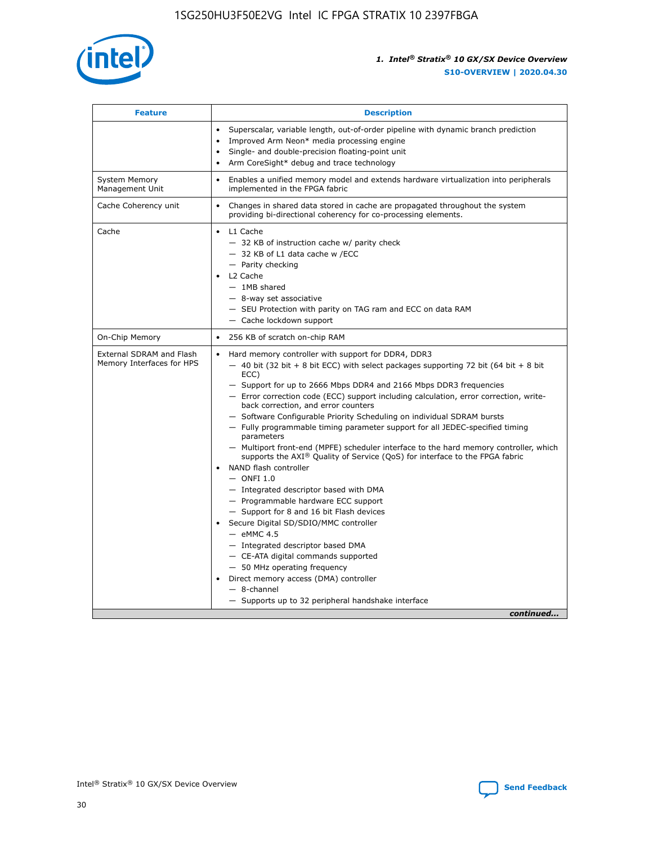

| <b>Feature</b>                                        | <b>Description</b>                                                                                                                                                                                                                                                                                                                                                                                                                                                                                                                                                                                                                                                                                                                                                                                                                                                                                                                                                                                                                                                                                                                                                                                               |  |
|-------------------------------------------------------|------------------------------------------------------------------------------------------------------------------------------------------------------------------------------------------------------------------------------------------------------------------------------------------------------------------------------------------------------------------------------------------------------------------------------------------------------------------------------------------------------------------------------------------------------------------------------------------------------------------------------------------------------------------------------------------------------------------------------------------------------------------------------------------------------------------------------------------------------------------------------------------------------------------------------------------------------------------------------------------------------------------------------------------------------------------------------------------------------------------------------------------------------------------------------------------------------------------|--|
|                                                       | Superscalar, variable length, out-of-order pipeline with dynamic branch prediction<br>Improved Arm Neon* media processing engine<br>Single- and double-precision floating-point unit<br>Arm CoreSight* debug and trace technology<br>$\bullet$                                                                                                                                                                                                                                                                                                                                                                                                                                                                                                                                                                                                                                                                                                                                                                                                                                                                                                                                                                   |  |
| <b>System Memory</b><br>Management Unit               | Enables a unified memory model and extends hardware virtualization into peripherals<br>implemented in the FPGA fabric                                                                                                                                                                                                                                                                                                                                                                                                                                                                                                                                                                                                                                                                                                                                                                                                                                                                                                                                                                                                                                                                                            |  |
| Cache Coherency unit                                  | Changes in shared data stored in cache are propagated throughout the system<br>$\bullet$<br>providing bi-directional coherency for co-processing elements.                                                                                                                                                                                                                                                                                                                                                                                                                                                                                                                                                                                                                                                                                                                                                                                                                                                                                                                                                                                                                                                       |  |
| Cache                                                 | L1 Cache<br>$\bullet$<br>- 32 KB of instruction cache w/ parity check<br>- 32 KB of L1 data cache w /ECC<br>- Parity checking<br>L <sub>2</sub> Cache<br>$-$ 1MB shared<br>$-$ 8-way set associative<br>- SEU Protection with parity on TAG ram and ECC on data RAM<br>- Cache lockdown support                                                                                                                                                                                                                                                                                                                                                                                                                                                                                                                                                                                                                                                                                                                                                                                                                                                                                                                  |  |
| On-Chip Memory                                        | 256 KB of scratch on-chip RAM                                                                                                                                                                                                                                                                                                                                                                                                                                                                                                                                                                                                                                                                                                                                                                                                                                                                                                                                                                                                                                                                                                                                                                                    |  |
| External SDRAM and Flash<br>Memory Interfaces for HPS | Hard memory controller with support for DDR4, DDR3<br>$\bullet$<br>$-$ 40 bit (32 bit + 8 bit ECC) with select packages supporting 72 bit (64 bit + 8 bit<br>ECC)<br>- Support for up to 2666 Mbps DDR4 and 2166 Mbps DDR3 frequencies<br>- Error correction code (ECC) support including calculation, error correction, write-<br>back correction, and error counters<br>- Software Configurable Priority Scheduling on individual SDRAM bursts<br>- Fully programmable timing parameter support for all JEDEC-specified timing<br>parameters<br>- Multiport front-end (MPFE) scheduler interface to the hard memory controller, which<br>supports the $AXI^{\circledR}$ Quality of Service (QoS) for interface to the FPGA fabric<br>NAND flash controller<br>$-$ ONFI 1.0<br>- Integrated descriptor based with DMA<br>- Programmable hardware ECC support<br>- Support for 8 and 16 bit Flash devices<br>Secure Digital SD/SDIO/MMC controller<br>$-$ eMMC 4.5<br>- Integrated descriptor based DMA<br>- CE-ATA digital commands supported<br>- 50 MHz operating frequency<br>Direct memory access (DMA) controller<br>٠<br>$-$ 8-channel<br>- Supports up to 32 peripheral handshake interface<br>continued |  |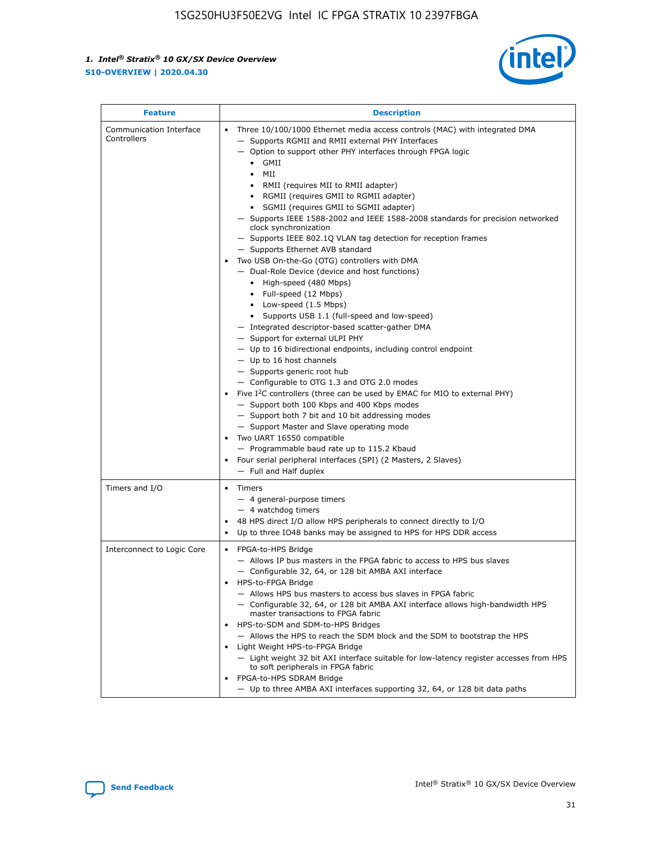

| <b>Feature</b>                         | <b>Description</b>                                                                                                                                                                                                                                                                                                                                                                                                                                                                                                                                                                                                                                                                                                                                                                                                                                                                                                                                                                                                                                                                                                                                                                                                                                                                                                                                                                                                                                                                                                  |
|----------------------------------------|---------------------------------------------------------------------------------------------------------------------------------------------------------------------------------------------------------------------------------------------------------------------------------------------------------------------------------------------------------------------------------------------------------------------------------------------------------------------------------------------------------------------------------------------------------------------------------------------------------------------------------------------------------------------------------------------------------------------------------------------------------------------------------------------------------------------------------------------------------------------------------------------------------------------------------------------------------------------------------------------------------------------------------------------------------------------------------------------------------------------------------------------------------------------------------------------------------------------------------------------------------------------------------------------------------------------------------------------------------------------------------------------------------------------------------------------------------------------------------------------------------------------|
| Communication Interface<br>Controllers | Three 10/100/1000 Ethernet media access controls (MAC) with integrated DMA<br>$\bullet$<br>- Supports RGMII and RMII external PHY Interfaces<br>- Option to support other PHY interfaces through FPGA logic<br>GMII<br>$\bullet$<br>MII<br>$\bullet$<br>• RMII (requires MII to RMII adapter)<br>• RGMII (requires GMII to RGMII adapter)<br>• SGMII (requires GMII to SGMII adapter)<br>- Supports IEEE 1588-2002 and IEEE 1588-2008 standards for precision networked<br>clock synchronization<br>- Supports IEEE 802.1Q VLAN tag detection for reception frames<br>- Supports Ethernet AVB standard<br>Two USB On-the-Go (OTG) controllers with DMA<br>- Dual-Role Device (device and host functions)<br>• High-speed (480 Mbps)<br>• Full-speed (12 Mbps)<br>• Low-speed (1.5 Mbps)<br>• Supports USB 1.1 (full-speed and low-speed)<br>- Integrated descriptor-based scatter-gather DMA<br>- Support for external ULPI PHY<br>- Up to 16 bidirectional endpoints, including control endpoint<br>$-$ Up to 16 host channels<br>- Supports generic root hub<br>- Configurable to OTG 1.3 and OTG 2.0 modes<br>Five $I^2C$ controllers (three can be used by EMAC for MIO to external PHY)<br>- Support both 100 Kbps and 400 Kbps modes<br>- Support both 7 bit and 10 bit addressing modes<br>- Support Master and Slave operating mode<br>Two UART 16550 compatible<br>- Programmable baud rate up to 115.2 Kbaud<br>• Four serial peripheral interfaces (SPI) (2 Masters, 2 Slaves)<br>- Full and Half duplex |
| Timers and I/O                         | $\bullet$ Timers<br>- 4 general-purpose timers<br>$-4$ watchdog timers<br>48 HPS direct I/O allow HPS peripherals to connect directly to I/O<br>Up to three IO48 banks may be assigned to HPS for HPS DDR access                                                                                                                                                                                                                                                                                                                                                                                                                                                                                                                                                                                                                                                                                                                                                                                                                                                                                                                                                                                                                                                                                                                                                                                                                                                                                                    |
| Interconnect to Logic Core             | • FPGA-to-HPS Bridge<br>- Allows IP bus masters in the FPGA fabric to access to HPS bus slaves<br>- Configurable 32, 64, or 128 bit AMBA AXI interface<br>HPS-to-FPGA Bridge<br>- Allows HPS bus masters to access bus slaves in FPGA fabric<br>- Configurable 32, 64, or 128 bit AMBA AXI interface allows high-bandwidth HPS<br>master transactions to FPGA fabric<br>HPS-to-SDM and SDM-to-HPS Bridges<br>- Allows the HPS to reach the SDM block and the SDM to bootstrap the HPS<br>Light Weight HPS-to-FPGA Bridge<br>- Light weight 32 bit AXI interface suitable for low-latency register accesses from HPS<br>to soft peripherals in FPGA fabric<br>FPGA-to-HPS SDRAM Bridge<br>- Up to three AMBA AXI interfaces supporting 32, 64, or 128 bit data paths                                                                                                                                                                                                                                                                                                                                                                                                                                                                                                                                                                                                                                                                                                                                                 |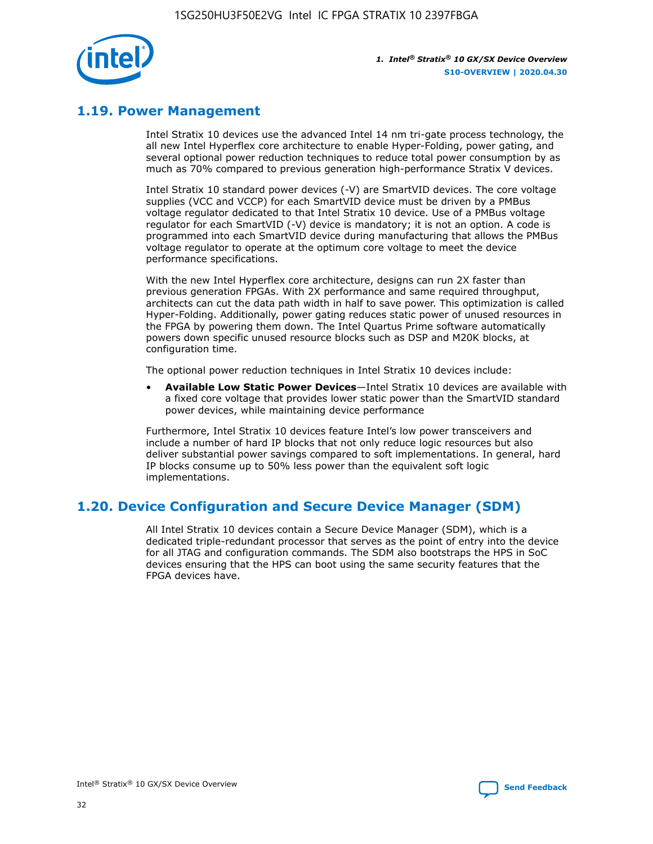

## **1.19. Power Management**

Intel Stratix 10 devices use the advanced Intel 14 nm tri-gate process technology, the all new Intel Hyperflex core architecture to enable Hyper-Folding, power gating, and several optional power reduction techniques to reduce total power consumption by as much as 70% compared to previous generation high-performance Stratix V devices.

Intel Stratix 10 standard power devices (-V) are SmartVID devices. The core voltage supplies (VCC and VCCP) for each SmartVID device must be driven by a PMBus voltage regulator dedicated to that Intel Stratix 10 device. Use of a PMBus voltage regulator for each SmartVID (-V) device is mandatory; it is not an option. A code is programmed into each SmartVID device during manufacturing that allows the PMBus voltage regulator to operate at the optimum core voltage to meet the device performance specifications.

With the new Intel Hyperflex core architecture, designs can run 2X faster than previous generation FPGAs. With 2X performance and same required throughput, architects can cut the data path width in half to save power. This optimization is called Hyper-Folding. Additionally, power gating reduces static power of unused resources in the FPGA by powering them down. The Intel Quartus Prime software automatically powers down specific unused resource blocks such as DSP and M20K blocks, at configuration time.

The optional power reduction techniques in Intel Stratix 10 devices include:

• **Available Low Static Power Devices**—Intel Stratix 10 devices are available with a fixed core voltage that provides lower static power than the SmartVID standard power devices, while maintaining device performance

Furthermore, Intel Stratix 10 devices feature Intel's low power transceivers and include a number of hard IP blocks that not only reduce logic resources but also deliver substantial power savings compared to soft implementations. In general, hard IP blocks consume up to 50% less power than the equivalent soft logic implementations.

## **1.20. Device Configuration and Secure Device Manager (SDM)**

All Intel Stratix 10 devices contain a Secure Device Manager (SDM), which is a dedicated triple-redundant processor that serves as the point of entry into the device for all JTAG and configuration commands. The SDM also bootstraps the HPS in SoC devices ensuring that the HPS can boot using the same security features that the FPGA devices have.

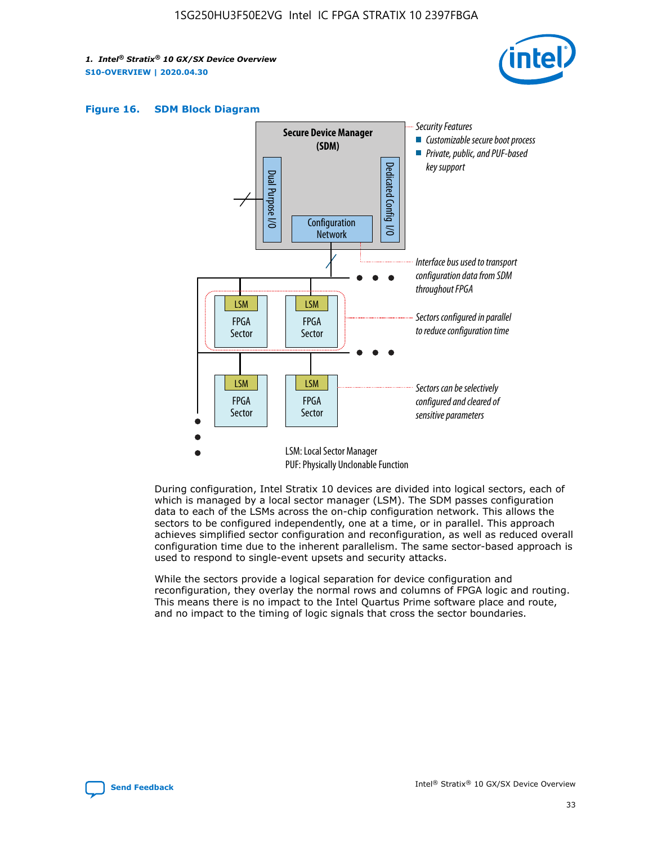





During configuration, Intel Stratix 10 devices are divided into logical sectors, each of which is managed by a local sector manager (LSM). The SDM passes configuration data to each of the LSMs across the on-chip configuration network. This allows the sectors to be configured independently, one at a time, or in parallel. This approach achieves simplified sector configuration and reconfiguration, as well as reduced overall configuration time due to the inherent parallelism. The same sector-based approach is used to respond to single-event upsets and security attacks.

While the sectors provide a logical separation for device configuration and reconfiguration, they overlay the normal rows and columns of FPGA logic and routing. This means there is no impact to the Intel Quartus Prime software place and route, and no impact to the timing of logic signals that cross the sector boundaries.

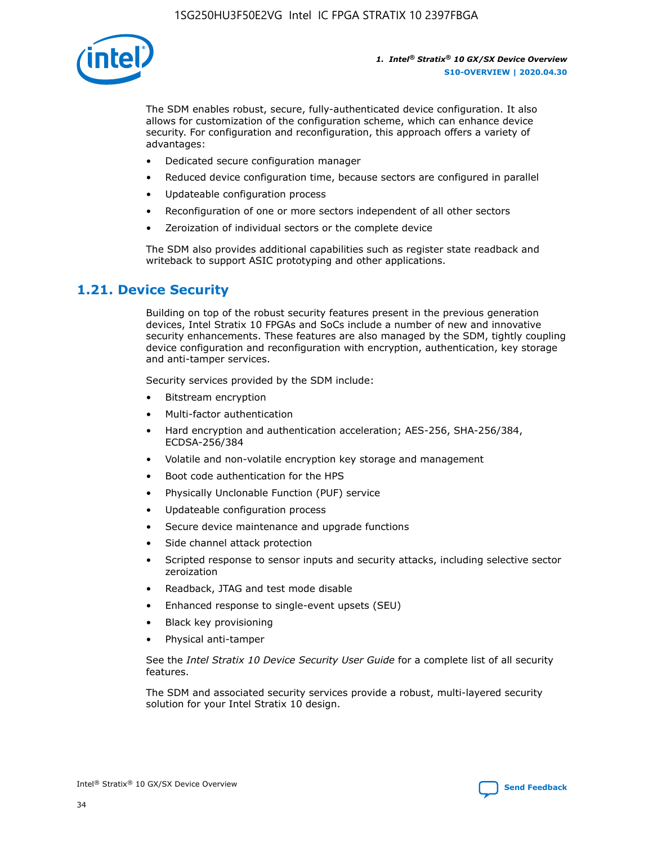

The SDM enables robust, secure, fully-authenticated device configuration. It also allows for customization of the configuration scheme, which can enhance device security. For configuration and reconfiguration, this approach offers a variety of advantages:

- Dedicated secure configuration manager
- Reduced device configuration time, because sectors are configured in parallel
- Updateable configuration process
- Reconfiguration of one or more sectors independent of all other sectors
- Zeroization of individual sectors or the complete device

The SDM also provides additional capabilities such as register state readback and writeback to support ASIC prototyping and other applications.

## **1.21. Device Security**

Building on top of the robust security features present in the previous generation devices, Intel Stratix 10 FPGAs and SoCs include a number of new and innovative security enhancements. These features are also managed by the SDM, tightly coupling device configuration and reconfiguration with encryption, authentication, key storage and anti-tamper services.

Security services provided by the SDM include:

- Bitstream encryption
- Multi-factor authentication
- Hard encryption and authentication acceleration; AES-256, SHA-256/384, ECDSA-256/384
- Volatile and non-volatile encryption key storage and management
- Boot code authentication for the HPS
- Physically Unclonable Function (PUF) service
- Updateable configuration process
- Secure device maintenance and upgrade functions
- Side channel attack protection
- Scripted response to sensor inputs and security attacks, including selective sector zeroization
- Readback, JTAG and test mode disable
- Enhanced response to single-event upsets (SEU)
- Black key provisioning
- Physical anti-tamper

See the *Intel Stratix 10 Device Security User Guide* for a complete list of all security features.

The SDM and associated security services provide a robust, multi-layered security solution for your Intel Stratix 10 design.

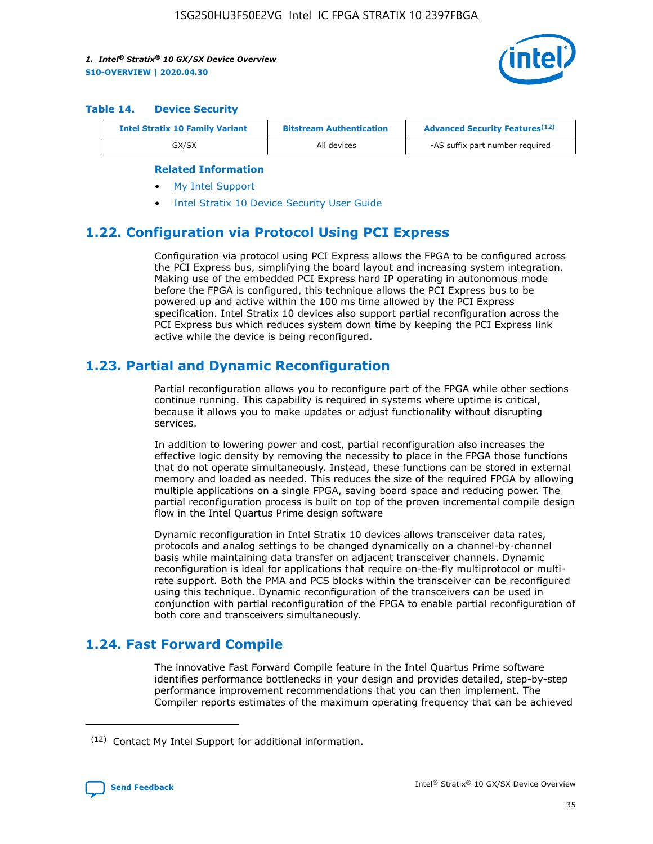

#### **Table 14. Device Security**

| <b>Intel Stratix 10 Family Variant</b> | <b>Bitstream Authentication</b> | <b>Advanced Security Features</b> <sup>(12)</sup> |  |
|----------------------------------------|---------------------------------|---------------------------------------------------|--|
| GX/SX                                  | All devices                     | -AS suffix part number required                   |  |

#### **Related Information**

- [My Intel Support](https://www.intel.com/content/www/us/en/programmable/my-intel/mal-home.html)
- [Intel Stratix 10 Device Security User Guide](https://www.intel.com/content/www/us/en/programmable/documentation/ndq1483601370898.html#wcd1483611014402)

## **1.22. Configuration via Protocol Using PCI Express**

Configuration via protocol using PCI Express allows the FPGA to be configured across the PCI Express bus, simplifying the board layout and increasing system integration. Making use of the embedded PCI Express hard IP operating in autonomous mode before the FPGA is configured, this technique allows the PCI Express bus to be powered up and active within the 100 ms time allowed by the PCI Express specification. Intel Stratix 10 devices also support partial reconfiguration across the PCI Express bus which reduces system down time by keeping the PCI Express link active while the device is being reconfigured.

## **1.23. Partial and Dynamic Reconfiguration**

Partial reconfiguration allows you to reconfigure part of the FPGA while other sections continue running. This capability is required in systems where uptime is critical, because it allows you to make updates or adjust functionality without disrupting services.

In addition to lowering power and cost, partial reconfiguration also increases the effective logic density by removing the necessity to place in the FPGA those functions that do not operate simultaneously. Instead, these functions can be stored in external memory and loaded as needed. This reduces the size of the required FPGA by allowing multiple applications on a single FPGA, saving board space and reducing power. The partial reconfiguration process is built on top of the proven incremental compile design flow in the Intel Quartus Prime design software

Dynamic reconfiguration in Intel Stratix 10 devices allows transceiver data rates, protocols and analog settings to be changed dynamically on a channel-by-channel basis while maintaining data transfer on adjacent transceiver channels. Dynamic reconfiguration is ideal for applications that require on-the-fly multiprotocol or multirate support. Both the PMA and PCS blocks within the transceiver can be reconfigured using this technique. Dynamic reconfiguration of the transceivers can be used in conjunction with partial reconfiguration of the FPGA to enable partial reconfiguration of both core and transceivers simultaneously.

## **1.24. Fast Forward Compile**

The innovative Fast Forward Compile feature in the Intel Quartus Prime software identifies performance bottlenecks in your design and provides detailed, step-by-step performance improvement recommendations that you can then implement. The Compiler reports estimates of the maximum operating frequency that can be achieved

<sup>(12)</sup> Contact My Intel Support for additional information.

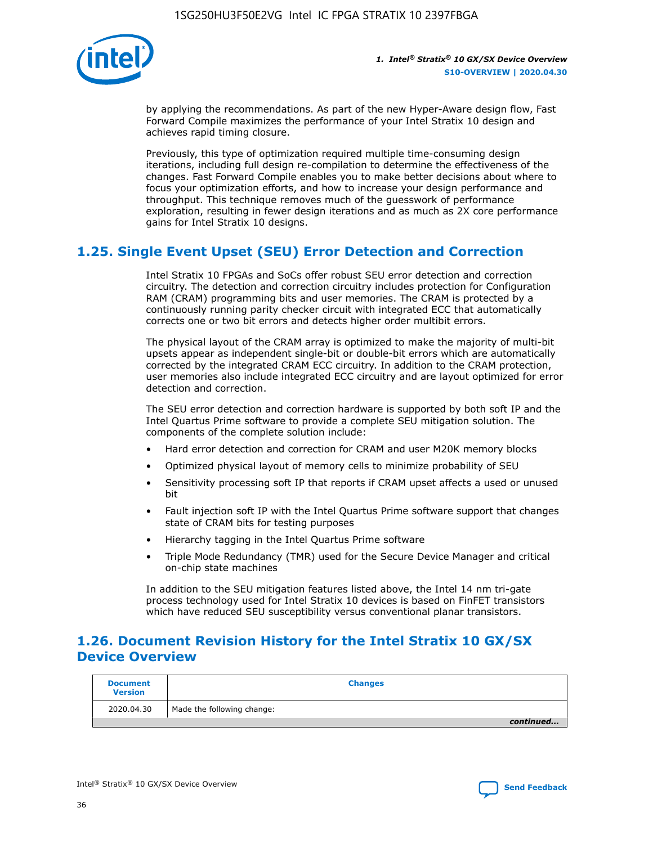

by applying the recommendations. As part of the new Hyper-Aware design flow, Fast Forward Compile maximizes the performance of your Intel Stratix 10 design and achieves rapid timing closure.

Previously, this type of optimization required multiple time-consuming design iterations, including full design re-compilation to determine the effectiveness of the changes. Fast Forward Compile enables you to make better decisions about where to focus your optimization efforts, and how to increase your design performance and throughput. This technique removes much of the guesswork of performance exploration, resulting in fewer design iterations and as much as 2X core performance gains for Intel Stratix 10 designs.

## **1.25. Single Event Upset (SEU) Error Detection and Correction**

Intel Stratix 10 FPGAs and SoCs offer robust SEU error detection and correction circuitry. The detection and correction circuitry includes protection for Configuration RAM (CRAM) programming bits and user memories. The CRAM is protected by a continuously running parity checker circuit with integrated ECC that automatically corrects one or two bit errors and detects higher order multibit errors.

The physical layout of the CRAM array is optimized to make the majority of multi-bit upsets appear as independent single-bit or double-bit errors which are automatically corrected by the integrated CRAM ECC circuitry. In addition to the CRAM protection, user memories also include integrated ECC circuitry and are layout optimized for error detection and correction.

The SEU error detection and correction hardware is supported by both soft IP and the Intel Quartus Prime software to provide a complete SEU mitigation solution. The components of the complete solution include:

- Hard error detection and correction for CRAM and user M20K memory blocks
- Optimized physical layout of memory cells to minimize probability of SEU
- Sensitivity processing soft IP that reports if CRAM upset affects a used or unused bit
- Fault injection soft IP with the Intel Quartus Prime software support that changes state of CRAM bits for testing purposes
- Hierarchy tagging in the Intel Quartus Prime software
- Triple Mode Redundancy (TMR) used for the Secure Device Manager and critical on-chip state machines

In addition to the SEU mitigation features listed above, the Intel 14 nm tri-gate process technology used for Intel Stratix 10 devices is based on FinFET transistors which have reduced SEU susceptibility versus conventional planar transistors.

## **1.26. Document Revision History for the Intel Stratix 10 GX/SX Device Overview**

| <b>Document</b><br><b>Version</b> | <b>Changes</b>             |
|-----------------------------------|----------------------------|
| 2020.04.30                        | Made the following change: |
|                                   | continued                  |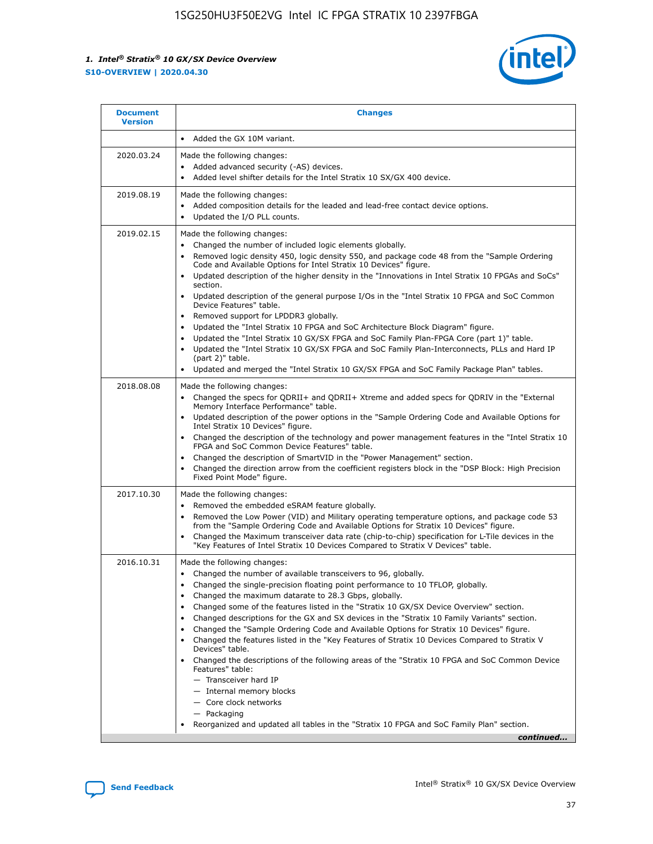

| • Added the GX 10M variant.<br>Made the following changes:<br>Added advanced security (-AS) devices.<br>$\bullet$<br>Added level shifter details for the Intel Stratix 10 SX/GX 400 device.<br>$\bullet$<br>Made the following changes:<br>Added composition details for the leaded and lead-free contact device options.                                                                                                                                                                                                                                                                                                                                                                                                                                                                                                                                                                                                                                                                                                     |
|-------------------------------------------------------------------------------------------------------------------------------------------------------------------------------------------------------------------------------------------------------------------------------------------------------------------------------------------------------------------------------------------------------------------------------------------------------------------------------------------------------------------------------------------------------------------------------------------------------------------------------------------------------------------------------------------------------------------------------------------------------------------------------------------------------------------------------------------------------------------------------------------------------------------------------------------------------------------------------------------------------------------------------|
|                                                                                                                                                                                                                                                                                                                                                                                                                                                                                                                                                                                                                                                                                                                                                                                                                                                                                                                                                                                                                               |
|                                                                                                                                                                                                                                                                                                                                                                                                                                                                                                                                                                                                                                                                                                                                                                                                                                                                                                                                                                                                                               |
| Updated the I/O PLL counts.<br>$\bullet$                                                                                                                                                                                                                                                                                                                                                                                                                                                                                                                                                                                                                                                                                                                                                                                                                                                                                                                                                                                      |
| Made the following changes:<br>Changed the number of included logic elements globally.<br>$\bullet$<br>Removed logic density 450, logic density 550, and package code 48 from the "Sample Ordering<br>$\bullet$<br>Code and Available Options for Intel Stratix 10 Devices" figure.<br>Updated description of the higher density in the "Innovations in Intel Stratix 10 FPGAs and SoCs"<br>section.<br>Updated description of the general purpose I/Os in the "Intel Stratix 10 FPGA and SoC Common<br>$\bullet$<br>Device Features" table.<br>Removed support for LPDDR3 globally.<br>٠<br>Updated the "Intel Stratix 10 FPGA and SoC Architecture Block Diagram" figure.<br>Updated the "Intel Stratix 10 GX/SX FPGA and SoC Family Plan-FPGA Core (part 1)" table.<br>$\bullet$<br>Updated the "Intel Stratix 10 GX/SX FPGA and SoC Family Plan-Interconnects, PLLs and Hard IP<br>$\bullet$<br>(part 2)" table.<br>Updated and merged the "Intel Stratix 10 GX/SX FPGA and SoC Family Package Plan" tables.<br>$\bullet$ |
| Made the following changes:<br>Changed the specs for ODRII+ and ODRII+ Xtreme and added specs for ODRIV in the "External<br>$\bullet$<br>Memory Interface Performance" table.<br>Updated description of the power options in the "Sample Ordering Code and Available Options for<br>Intel Stratix 10 Devices" figure.<br>Changed the description of the technology and power management features in the "Intel Stratix 10<br>FPGA and SoC Common Device Features" table.<br>Changed the description of SmartVID in the "Power Management" section.<br>Changed the direction arrow from the coefficient registers block in the "DSP Block: High Precision<br>Fixed Point Mode" figure.                                                                                                                                                                                                                                                                                                                                         |
| Made the following changes:<br>Removed the embedded eSRAM feature globally.<br>$\bullet$<br>Removed the Low Power (VID) and Military operating temperature options, and package code 53<br>$\bullet$<br>from the "Sample Ordering Code and Available Options for Stratix 10 Devices" figure.<br>Changed the Maximum transceiver data rate (chip-to-chip) specification for L-Tile devices in the<br>٠<br>"Key Features of Intel Stratix 10 Devices Compared to Stratix V Devices" table.                                                                                                                                                                                                                                                                                                                                                                                                                                                                                                                                      |
| Made the following changes:<br>• Changed the number of available transceivers to 96, globally.<br>Changed the single-precision floating point performance to 10 TFLOP, globally.<br>Changed the maximum datarate to 28.3 Gbps, globally.<br>Changed some of the features listed in the "Stratix 10 GX/SX Device Overview" section.<br>٠<br>Changed descriptions for the GX and SX devices in the "Stratix 10 Family Variants" section.<br>٠<br>Changed the "Sample Ordering Code and Available Options for Stratix 10 Devices" figure.<br>٠<br>Changed the features listed in the "Key Features of Stratix 10 Devices Compared to Stratix V<br>٠<br>Devices" table.<br>Changed the descriptions of the following areas of the "Stratix 10 FPGA and SoC Common Device<br>Features" table:<br>- Transceiver hard IP<br>- Internal memory blocks<br>- Core clock networks<br>- Packaging<br>Reorganized and updated all tables in the "Stratix 10 FPGA and SoC Family Plan" section.<br>continued                                |
|                                                                                                                                                                                                                                                                                                                                                                                                                                                                                                                                                                                                                                                                                                                                                                                                                                                                                                                                                                                                                               |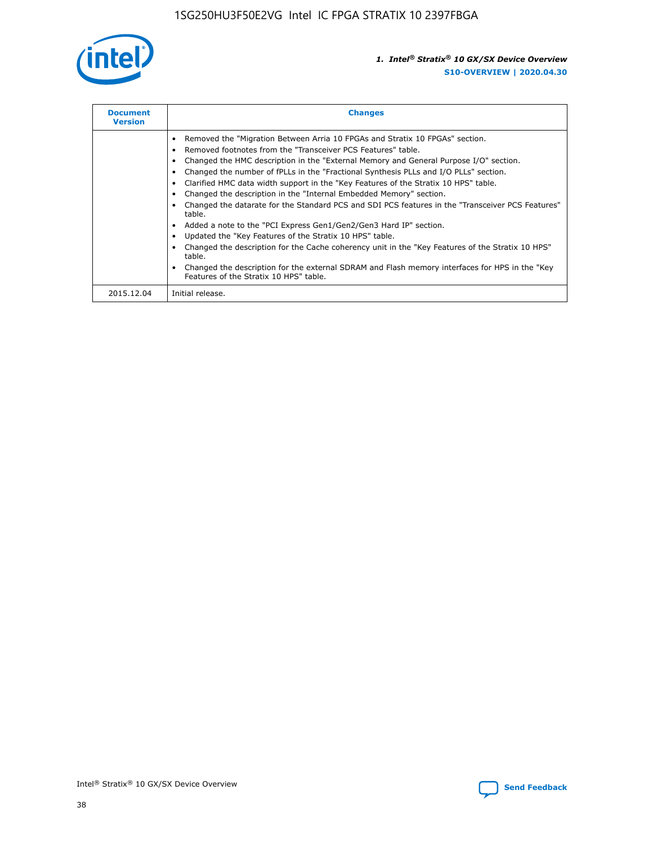

| <b>Document</b><br><b>Version</b> | <b>Changes</b>                                                                                                                                                                                                                                                                                                                                                                                                                                                                                                                                                                                                                                                                                                                                                                                                                                                                                                                                                                                     |
|-----------------------------------|----------------------------------------------------------------------------------------------------------------------------------------------------------------------------------------------------------------------------------------------------------------------------------------------------------------------------------------------------------------------------------------------------------------------------------------------------------------------------------------------------------------------------------------------------------------------------------------------------------------------------------------------------------------------------------------------------------------------------------------------------------------------------------------------------------------------------------------------------------------------------------------------------------------------------------------------------------------------------------------------------|
|                                   | Removed the "Migration Between Arria 10 FPGAs and Stratix 10 FPGAs" section.<br>Removed footnotes from the "Transceiver PCS Features" table.<br>Changed the HMC description in the "External Memory and General Purpose I/O" section.<br>Changed the number of fPLLs in the "Fractional Synthesis PLLs and I/O PLLs" section.<br>Clarified HMC data width support in the "Key Features of the Stratix 10 HPS" table.<br>Changed the description in the "Internal Embedded Memory" section.<br>Changed the datarate for the Standard PCS and SDI PCS features in the "Transceiver PCS Features"<br>table.<br>Added a note to the "PCI Express Gen1/Gen2/Gen3 Hard IP" section.<br>Updated the "Key Features of the Stratix 10 HPS" table.<br>Changed the description for the Cache coherency unit in the "Key Features of the Stratix 10 HPS"<br>table.<br>Changed the description for the external SDRAM and Flash memory interfaces for HPS in the "Key<br>Features of the Stratix 10 HPS" table. |
| 2015.12.04                        | Initial release.                                                                                                                                                                                                                                                                                                                                                                                                                                                                                                                                                                                                                                                                                                                                                                                                                                                                                                                                                                                   |